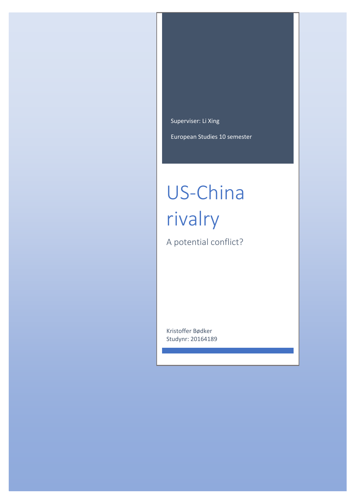Superviser: Li Xing

European Studies 10 semester

# US-China rivalry

A potential conflict?

Kristoffer Bødker Studynr: 20164189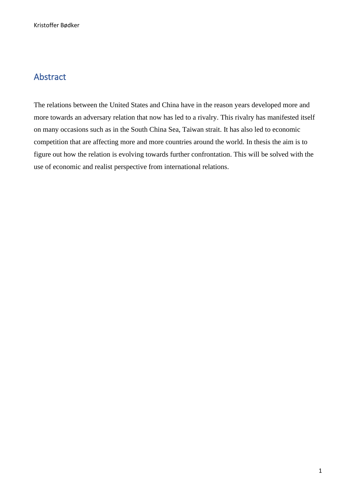# <span id="page-1-0"></span>Abstract

The relations between the United States and China have in the reason years developed more and more towards an adversary relation that now has led to a rivalry. This rivalry has manifested itself on many occasions such as in the South China Sea, Taiwan strait. It has also led to economic competition that are affecting more and more countries around the world. In thesis the aim is to figure out how the relation is evolving towards further confrontation. This will be solved with the use of economic and realist perspective from international relations.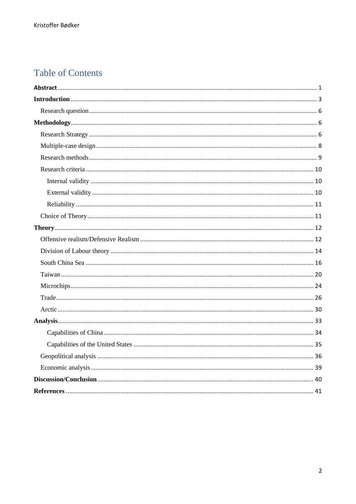# **Table of Contents**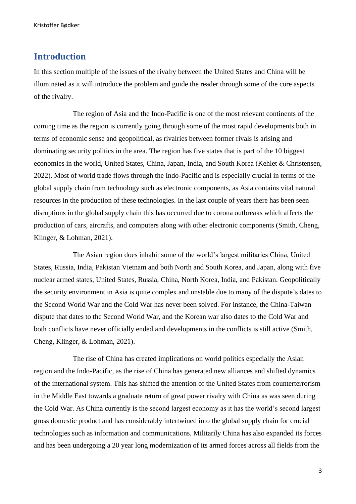# <span id="page-3-0"></span>**Introduction**

In this section multiple of the issues of the rivalry between the United States and China will be illuminated as it will introduce the problem and guide the reader through some of the core aspects of the rivalry.

The region of Asia and the Indo-Pacific is one of the most relevant continents of the coming time as the region is currently going through some of the most rapid developments both in terms of economic sense and geopolitical, as rivalries between former rivals is arising and dominating security politics in the area. The region has five states that is part of the 10 biggest economies in the world, United States, China, Japan, India, and South Korea (Kehlet & Christensen, 2022). Most of world trade flows through the Indo-Pacific and is especially crucial in terms of the global supply chain from technology such as electronic components, as Asia contains vital natural resources in the production of these technologies. In the last couple of years there has been seen disruptions in the global supply chain this has occurred due to corona outbreaks which affects the production of cars, aircrafts, and computers along with other electronic components (Smith, Cheng, Klinger, & Lohman, 2021).

The Asian region does inhabit some of the world's largest militaries China, United States, Russia, India, Pakistan Vietnam and both North and South Korea, and Japan, along with five nuclear armed states, United States, Russia, China, North Korea, India, and Pakistan. Geopolitically the security environment in Asia is quite complex and unstable due to many of the dispute's dates to the Second World War and the Cold War has never been solved. For instance, the China-Taiwan dispute that dates to the Second World War, and the Korean war also dates to the Cold War and both conflicts have never officially ended and developments in the conflicts is still active (Smith, Cheng, Klinger, & Lohman, 2021).

The rise of China has created implications on world politics especially the Asian region and the Indo-Pacific, as the rise of China has generated new alliances and shifted dynamics of the international system. This has shifted the attention of the United States from counterterrorism in the Middle East towards a graduate return of great power rivalry with China as was seen during the Cold War. As China currently is the second largest economy as it has the world's second largest gross domestic product and has considerably intertwined into the global supply chain for crucial technologies such as information and communications. Militarily China has also expanded its forces and has been undergoing a 20 year long modernization of its armed forces across all fields from the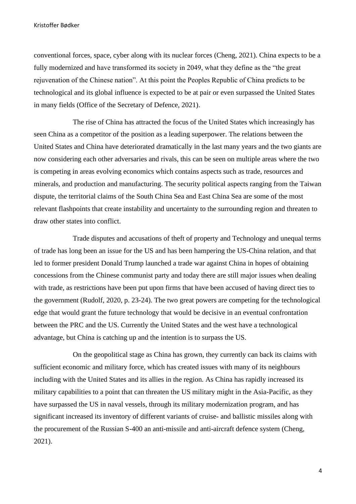conventional forces, space, cyber along with its nuclear forces (Cheng, 2021). China expects to be a fully modernized and have transformed its society in 2049, what they define as the "the great rejuvenation of the Chinese nation". At this point the Peoples Republic of China predicts to be technological and its global influence is expected to be at pair or even surpassed the United States in many fields (Office of the Secretary of Defence, 2021).

The rise of China has attracted the focus of the United States which increasingly has seen China as a competitor of the position as a leading superpower. The relations between the United States and China have deteriorated dramatically in the last many years and the two giants are now considering each other adversaries and rivals, this can be seen on multiple areas where the two is competing in areas evolving economics which contains aspects such as trade, resources and minerals, and production and manufacturing. The security political aspects ranging from the Taiwan dispute, the territorial claims of the South China Sea and East China Sea are some of the most relevant flashpoints that create instability and uncertainty to the surrounding region and threaten to draw other states into conflict.

Trade disputes and accusations of theft of property and Technology and unequal terms of trade has long been an issue for the US and has been hampering the US-China relation, and that led to former president Donald Trump launched a trade war against China in hopes of obtaining concessions from the Chinese communist party and today there are still major issues when dealing with trade, as restrictions have been put upon firms that have been accused of having direct ties to the government (Rudolf, 2020, p. 23-24). The two great powers are competing for the technological edge that would grant the future technology that would be decisive in an eventual confrontation between the PRC and the US. Currently the United States and the west have a technological advantage, but China is catching up and the intention is to surpass the US.

On the geopolitical stage as China has grown, they currently can back its claims with sufficient economic and military force, which has created issues with many of its neighbours including with the United States and its allies in the region. As China has rapidly increased its military capabilities to a point that can threaten the US military might in the Asia-Pacific, as they have surpassed the US in naval vessels, through its military modernization program, and has significant increased its inventory of different variants of cruise- and ballistic missiles along with the procurement of the Russian S-400 an anti-missile and anti-aircraft defence system (Cheng, 2021).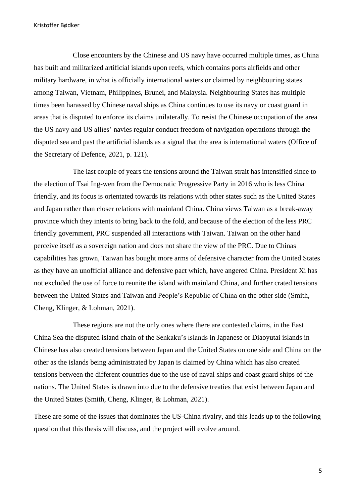Close encounters by the Chinese and US navy have occurred multiple times, as China has built and militarized artificial islands upon reefs, which contains ports airfields and other military hardware, in what is officially international waters or claimed by neighbouring states among Taiwan, Vietnam, Philippines, Brunei, and Malaysia. Neighbouring States has multiple times been harassed by Chinese naval ships as China continues to use its navy or coast guard in areas that is disputed to enforce its claims unilaterally. To resist the Chinese occupation of the area the US navy and US allies' navies regular conduct freedom of navigation operations through the disputed sea and past the artificial islands as a signal that the area is international waters (Office of the Secretary of Defence, 2021, p. 121).

The last couple of years the tensions around the Taiwan strait has intensified since to the election of Tsai Ing-wen from the Democratic Progressive Party in 2016 who is less China friendly, and its focus is orientated towards its relations with other states such as the United States and Japan rather than closer relations with mainland China. China views Taiwan as a break-away province which they intents to bring back to the fold, and because of the election of the less PRC friendly government, PRC suspended all interactions with Taiwan. Taiwan on the other hand perceive itself as a sovereign nation and does not share the view of the PRC. Due to Chinas capabilities has grown, Taiwan has bought more arms of defensive character from the United States as they have an unofficial alliance and defensive pact which, have angered China. President Xi has not excluded the use of force to reunite the island with mainland China, and further crated tensions between the United States and Taiwan and People's Republic of China on the other side (Smith, Cheng, Klinger, & Lohman, 2021).

These regions are not the only ones where there are contested claims, in the East China Sea the disputed island chain of the Senkaku's islands in Japanese or Diaoyutai islands in Chinese has also created tensions between Japan and the United States on one side and China on the other as the islands being administrated by Japan is claimed by China which has also created tensions between the different countries due to the use of naval ships and coast guard ships of the nations. The United States is drawn into due to the defensive treaties that exist between Japan and the United States (Smith, Cheng, Klinger, & Lohman, 2021).

These are some of the issues that dominates the US-China rivalry, and this leads up to the following question that this thesis will discuss, and the project will evolve around.

5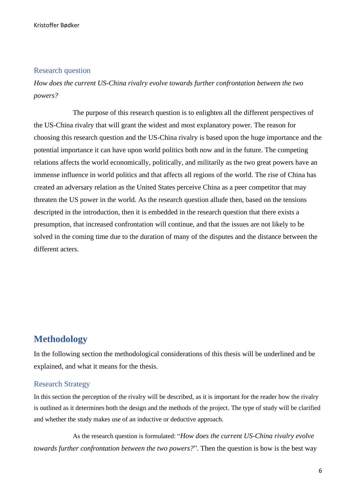# <span id="page-6-0"></span>Research question

*How does the current US-China rivalry evolve towards further confrontation between the two powers?* 

The purpose of this research question is to enlighten all the different perspectives of the US-China rivalry that will grant the widest and most explanatory power. The reason for choosing this research question and the US-China rivalry is based upon the huge importance and the potential importance it can have upon world politics both now and in the future. The competing relations affects the world economically, politically, and militarily as the two great powers have an immense influence in world politics and that affects all regions of the world. The rise of China has created an adversary relation as the United States perceive China as a peer competitor that may threaten the US power in the world. As the research question allude then, based on the tensions descripted in the introduction, then it is embedded in the research question that there exists a presumption, that increased confrontation will continue, and that the issues are not likely to be solved in the coming time due to the duration of many of the disputes and the distance between the different acters.

# <span id="page-6-1"></span>**Methodology**

In the following section the methodological considerations of this thesis will be underlined and be explained, and what it means for the thesis.

# <span id="page-6-2"></span>Research Strategy

In this section the perception of the rivalry will be described, as it is important for the reader how the rivalry is outlined as it determines both the design and the methods of the project. The type of study will be clarified and whether the study makes use of an inductive or deductive approach.

As the research question is formulated: "*How does the current US-China rivalry evolve towards further confrontation between the two powers?*". Then the question is how is the best way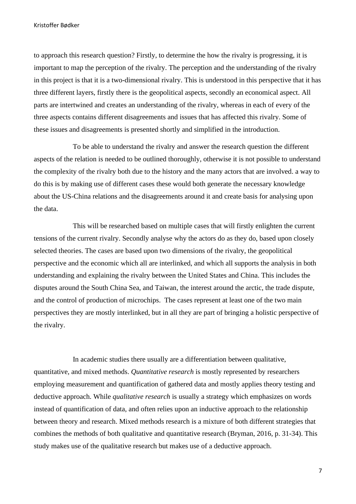to approach this research question? Firstly, to determine the how the rivalry is progressing, it is important to map the perception of the rivalry. The perception and the understanding of the rivalry in this project is that it is a two-dimensional rivalry. This is understood in this perspective that it has three different layers, firstly there is the geopolitical aspects, secondly an economical aspect. All parts are intertwined and creates an understanding of the rivalry, whereas in each of every of the three aspects contains different disagreements and issues that has affected this rivalry. Some of these issues and disagreements is presented shortly and simplified in the introduction.

To be able to understand the rivalry and answer the research question the different aspects of the relation is needed to be outlined thoroughly, otherwise it is not possible to understand the complexity of the rivalry both due to the history and the many actors that are involved. a way to do this is by making use of different cases these would both generate the necessary knowledge about the US-China relations and the disagreements around it and create basis for analysing upon the data.

This will be researched based on multiple cases that will firstly enlighten the current tensions of the current rivalry. Secondly analyse why the actors do as they do, based upon closely selected theories. The cases are based upon two dimensions of the rivalry, the geopolitical perspective and the economic which all are interlinked, and which all supports the analysis in both understanding and explaining the rivalry between the United States and China. This includes the disputes around the South China Sea, and Taiwan, the interest around the arctic, the trade dispute, and the control of production of microchips. The cases represent at least one of the two main perspectives they are mostly interlinked, but in all they are part of bringing a holistic perspective of the rivalry.

In academic studies there usually are a differentiation between qualitative, quantitative, and mixed methods. *Quantitative research* is mostly represented by researchers employing measurement and quantification of gathered data and mostly applies theory testing and deductive approach. While *qualitative research* is usually a strategy which emphasizes on words instead of quantification of data, and often relies upon an inductive approach to the relationship between theory and research. Mixed methods research is a mixture of both different strategies that combines the methods of both qualitative and quantitative research (Bryman, 2016, p. 31-34). This study makes use of the qualitative research but makes use of a deductive approach.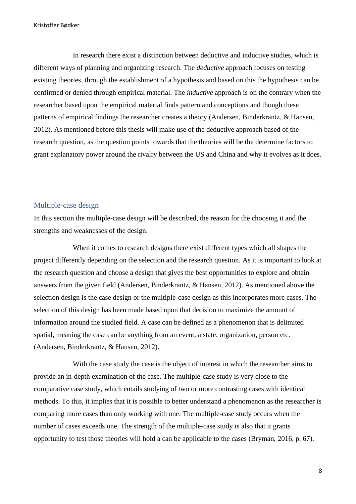In research there exist a distinction between deductive and inductive studies, which is different ways of planning and organizing research. The *deductive* approach focuses on testing existing theories, through the establishment of a hypothesis and based on this the hypothesis can be confirmed or denied through empirical material. The *inductive* approach is on the contrary when the researcher based upon the empirical material finds pattern and conceptions and though these patterns of empirical findings the researcher creates a theory (Andersen, Binderkrantz, & Hansen, 2012). As mentioned before this thesis will make use of the deductive approach based of the research question, as the question points towards that the theories will be the determine factors to grant explanatory power around the rivalry between the US and China and why it evolves as it does.

## <span id="page-8-0"></span>Multiple-case design

In this section the multiple-case design will be described, the reason for the choosing it and the strengths and weaknesses of the design.

When it comes to research designs there exist different types which all shapes the project differently depending on the selection and the research question. As it is important to look at the research question and choose a design that gives the best opportunities to explore and obtain answers from the given field (Andersen, Binderkrantz, & Hansen, 2012). As mentioned above the selection design is the case design or the multiple-case design as this incorporates more cases. The selection of this design has been made based upon that decision to maximize the amount of information around the studied field. A case can be defined as a phenomenon that is delimited spatial, meaning the case can be anything from an event, a state, organization, person etc. (Andersen, Binderkrantz, & Hansen, 2012).

With the case study the case is the object of interest in which the researcher aims to provide an in-depth examination of the case. The multiple-case study is very close to the comparative case study, which entails studying of two or more contrasting cases with identical methods. To this, it implies that it is possible to better understand a phenomenon as the researcher is comparing more cases than only working with one. The multiple-case study occurs when the number of cases exceeds one. The strength of the multiple-case study is also that it grants opportunity to test those theories will hold a can be applicable to the cases (Bryman, 2016, p. 67).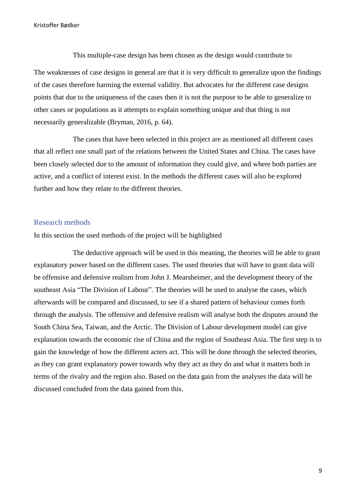This multiple-case design has been chosen as the design would contribute to The weaknesses of case designs in general are that it is very difficult to generalize upon the findings of the cases therefore harming the external validity. But advocates for the different case designs points that due to the uniqueness of the cases then it is not the purpose to be able to generalize to other cases or populations as it attempts to explain something unique and that thing is not necessarily generalizable (Bryman, 2016, p. 64).

The cases that have been selected in this project are as mentioned all different cases that all reflect one small part of the relations between the United States and China. The cases have been closely selected due to the amount of information they could give, and where both parties are active, and a conflict of interest exist. In the methods the different cases will also be explored further and how they relate to the different theories.

# <span id="page-9-0"></span>Research methods

In this section the used methods of the project will be highlighted

The deductive approach will be used in this meaning, the theories will be able to grant explanatory power based on the different cases. The used theories that will have to grant data will be offensive and defensive realism from John J. Mearsheimer, and the development theory of the southeast Asia "The Division of Labour". The theories will be used to analyse the cases, which afterwards will be compared and discussed, to see if a shared pattern of behaviour comes forth through the analysis. The offensive and defensive realism will analyse both the disputes around the South China Sea, Taiwan, and the Arctic. The Division of Labour development model can give explanation towards the economic rise of China and the region of Southeast Asia. The first step is to gain the knowledge of how the different acters act. This will be done through the selected theories, as they can grant explanatory power towards why they act as they do and what it matters both in terms of the rivalry and the region also. Based on the data gain from the analyses the data will be discussed concluded from the data gained from this.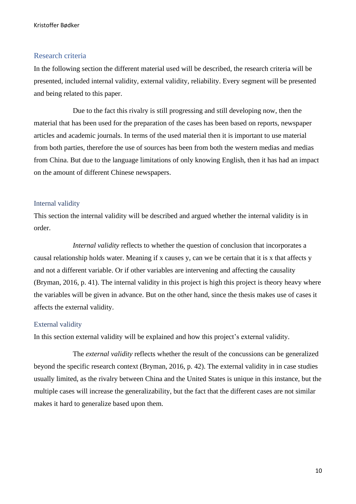# <span id="page-10-0"></span>Research criteria

In the following section the different material used will be described, the research criteria will be presented, included internal validity, external validity, reliability. Every segment will be presented and being related to this paper.

Due to the fact this rivalry is still progressing and still developing now, then the material that has been used for the preparation of the cases has been based on reports, newspaper articles and academic journals. In terms of the used material then it is important to use material from both parties, therefore the use of sources has been from both the western medias and medias from China. But due to the language limitations of only knowing English, then it has had an impact on the amount of different Chinese newspapers.

## <span id="page-10-1"></span>Internal validity

This section the internal validity will be described and argued whether the internal validity is in order.

*Internal validity* reflects to whether the question of conclusion that incorporates a causal relationship holds water. Meaning if x causes y, can we be certain that it is x that affects y and not a different variable. Or if other variables are intervening and affecting the causality (Bryman, 2016, p. 41). The internal validity in this project is high this project is theory heavy where the variables will be given in advance. But on the other hand, since the thesis makes use of cases it affects the external validity.

## <span id="page-10-2"></span>External validity

In this section external validity will be explained and how this project's external validity.

The *external validity* reflects whether the result of the concussions can be generalized beyond the specific research context (Bryman, 2016, p. 42). The external validity in in case studies usually limited, as the rivalry between China and the United States is unique in this instance, but the multiple cases will increase the generalizability, but the fact that the different cases are not similar makes it hard to generalize based upon them.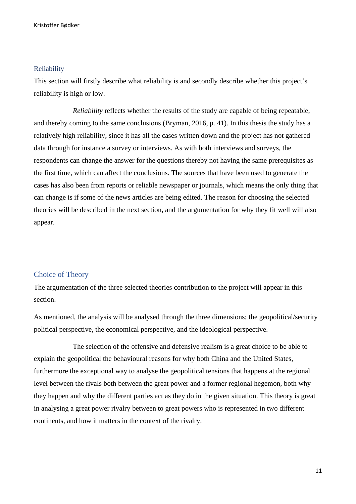## <span id="page-11-0"></span>Reliability

This section will firstly describe what reliability is and secondly describe whether this project's reliability is high or low.

*Reliability* reflects whether the results of the study are capable of being repeatable, and thereby coming to the same conclusions (Bryman, 2016, p. 41). In this thesis the study has a relatively high reliability, since it has all the cases written down and the project has not gathered data through for instance a survey or interviews. As with both interviews and surveys, the respondents can change the answer for the questions thereby not having the same prerequisites as the first time, which can affect the conclusions. The sources that have been used to generate the cases has also been from reports or reliable newspaper or journals, which means the only thing that can change is if some of the news articles are being edited. The reason for choosing the selected theories will be described in the next section, and the argumentation for why they fit well will also appear.

# <span id="page-11-1"></span>Choice of Theory

The argumentation of the three selected theories contribution to the project will appear in this section.

As mentioned, the analysis will be analysed through the three dimensions; the geopolitical/security political perspective, the economical perspective, and the ideological perspective.

The selection of the offensive and defensive realism is a great choice to be able to explain the geopolitical the behavioural reasons for why both China and the United States, furthermore the exceptional way to analyse the geopolitical tensions that happens at the regional level between the rivals both between the great power and a former regional hegemon, both why they happen and why the different parties act as they do in the given situation. This theory is great in analysing a great power rivalry between to great powers who is represented in two different continents, and how it matters in the context of the rivalry.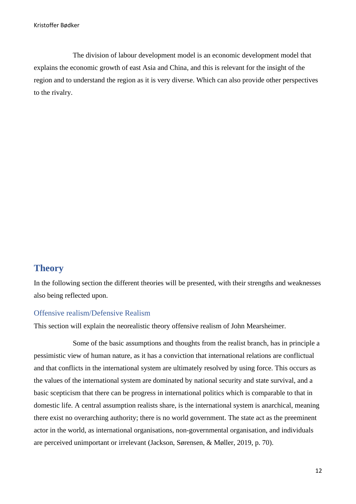The division of labour development model is an economic development model that explains the economic growth of east Asia and China, and this is relevant for the insight of the region and to understand the region as it is very diverse. Which can also provide other perspectives to the rivalry.

# <span id="page-12-0"></span>**Theory**

In the following section the different theories will be presented, with their strengths and weaknesses also being reflected upon.

# <span id="page-12-1"></span>Offensive realism/Defensive Realism

This section will explain the neorealistic theory offensive realism of John Mearsheimer.

Some of the basic assumptions and thoughts from the realist branch, has in principle a pessimistic view of human nature, as it has a conviction that international relations are conflictual and that conflicts in the international system are ultimately resolved by using force. This occurs as the values of the international system are dominated by national security and state survival, and a basic scepticism that there can be progress in international politics which is comparable to that in domestic life. A central assumption realists share, is the international system is anarchical, meaning there exist no overarching authority; there is no world government. The state act as the preeminent actor in the world, as international organisations, non-governmental organisation, and individuals are perceived unimportant or irrelevant (Jackson, Sørensen, & Møller, 2019, p. 70).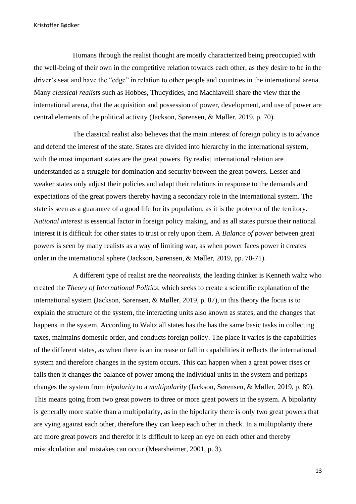Humans through the realist thought are mostly characterized being preoccupied with the well-being of their own in the competitive relation towards each other, as they desire to be in the driver's seat and have the "edge" in relation to other people and countries in the international arena. Many *classical realists* such as Hobbes, Thucydides, and Machiavelli share the view that the international arena, that the acquisition and possession of power, development, and use of power are central elements of the political activity (Jackson, Sørensen, & Møller, 2019, p. 70).

The classical realist also believes that the main interest of foreign policy is to advance and defend the interest of the state. States are divided into hierarchy in the international system, with the most important states are the great powers. By realist international relation are understanded as a struggle for domination and security between the great powers. Lesser and weaker states only adjust their policies and adapt their relations in response to the demands and expectations of the great powers thereby having a secondary role in the international system. The state is seen as a guarantee of a good life for its population, as it is the protector of the territory. *National interest* is essential factor in foreign policy making, and as all states pursue their national interest it is difficult for other states to trust or rely upon them. A *Balance of power* between great powers is seen by many realists as a way of limiting war, as when power faces power it creates order in the international sphere (Jackson, Sørensen, & Møller, 2019, pp. 70-71).

A different type of realist are the *neorealists*, the leading thinker is Kenneth waltz who created the *Theory of International Politics*, which seeks to create a scientific explanation of the international system (Jackson, Sørensen, & Møller, 2019, p. 87), in this theory the focus is to explain the structure of the system, the interacting units also known as states, and the changes that happens in the system. According to Waltz all states has the has the same basic tasks in collecting taxes, maintains domestic order, and conducts foreign policy. The place it varies is the capabilities of the different states, as when there is an increase or fall in capabilities it reflects the international system and therefore changes in the system occurs. This can happen when a great power rises or falls then it changes the balance of power among the individual units in the system and perhaps changes the system from *bipolarity* to a *multipolarity* (Jackson, Sørensen, & Møller, 2019, p. 89). This means going from two great powers to three or more great powers in the system. A bipolarity is generally more stable than a multipolarity, as in the bipolarity there is only two great powers that are vying against each other, therefore they can keep each other in check. In a multipolarity there are more great powers and therefor it is difficult to keep an eye on each other and thereby miscalculation and mistakes can occur (Mearsheimer, 2001, p. 3).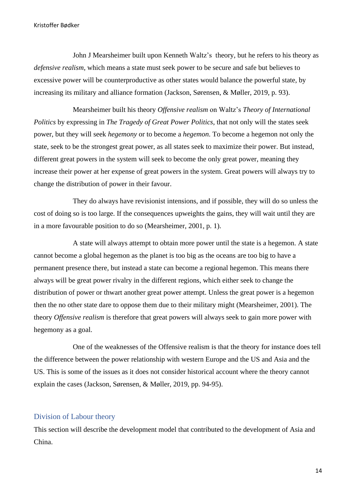John J Mearsheimer built upon Kenneth Waltz's theory, but he refers to his theory as *defensive realism*, which means a state must seek power to be secure and safe but believes to excessive power will be counterproductive as other states would balance the powerful state, by increasing its military and alliance formation (Jackson, Sørensen, & Møller, 2019, p. 93).

Mearsheimer built his theory *Offensive realism* on Waltz's *Theory of International Politics* by expressing in *The Tragedy of Great Power Politics*, that not only will the states seek power, but they will seek *hegemony* or to become a *hegemon*. To become a hegemon not only the state, seek to be the strongest great power, as all states seek to maximize their power. But instead, different great powers in the system will seek to become the only great power, meaning they increase their power at her expense of great powers in the system. Great powers will always try to change the distribution of power in their favour.

They do always have revisionist intensions, and if possible, they will do so unless the cost of doing so is too large. If the consequences upweights the gains, they will wait until they are in a more favourable position to do so (Mearsheimer, 2001, p. 1).

A state will always attempt to obtain more power until the state is a hegemon. A state cannot become a global hegemon as the planet is too big as the oceans are too big to have a permanent presence there, but instead a state can become a regional hegemon. This means there always will be great power rivalry in the different regions, which either seek to change the distribution of power or thwart another great power attempt. Unless the great power is a hegemon then the no other state dare to oppose them due to their military might (Mearsheimer, 2001). The theory *Offensive realism* is therefore that great powers will always seek to gain more power with hegemony as a goal.

One of the weaknesses of the Offensive realism is that the theory for instance does tell the difference between the power relationship with western Europe and the US and Asia and the US. This is some of the issues as it does not consider historical account where the theory cannot explain the cases (Jackson, Sørensen, & Møller, 2019, pp. 94-95).

# <span id="page-14-0"></span>Division of Labour theory

This section will describe the development model that contributed to the development of Asia and China.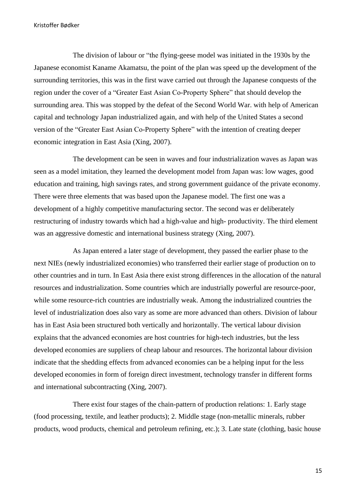The division of labour or "the flying-geese model was initiated in the 1930s by the Japanese economist Kaname Akamatsu, the point of the plan was speed up the development of the surrounding territories, this was in the first wave carried out through the Japanese conquests of the region under the cover of a "Greater East Asian Co-Property Sphere" that should develop the surrounding area. This was stopped by the defeat of the Second World War. with help of American capital and technology Japan industrialized again, and with help of the United States a second version of the "Greater East Asian Co-Property Sphere" with the intention of creating deeper economic integration in East Asia (Xing, 2007).

The development can be seen in waves and four industrialization waves as Japan was seen as a model imitation, they learned the development model from Japan was: low wages, good education and training, high savings rates, and strong government guidance of the private economy. There were three elements that was based upon the Japanese model. The first one was a development of a highly competitive manufacturing sector. The second was er deliberately restructuring of industry towards which had a high-value and high- productivity. The third element was an aggressive domestic and international business strategy (Xing, 2007).

As Japan entered a later stage of development, they passed the earlier phase to the next NIEs (newly industrialized economies) who transferred their earlier stage of production on to other countries and in turn. In East Asia there exist strong differences in the allocation of the natural resources and industrialization. Some countries which are industrially powerful are resource-poor, while some resource-rich countries are industrially weak. Among the industrialized countries the level of industrialization does also vary as some are more advanced than others. Division of labour has in East Asia been structured both vertically and horizontally. The vertical labour division explains that the advanced economies are host countries for high-tech industries, but the less developed economies are suppliers of cheap labour and resources. The horizontal labour division indicate that the shedding effects from advanced economies can be a helping input for the less developed economies in form of foreign direct investment, technology transfer in different forms and international subcontracting (Xing, 2007).

There exist four stages of the chain-pattern of production relations: 1. Early stage (food processing, textile, and leather products); 2. Middle stage (non-metallic minerals, rubber products, wood products, chemical and petroleum refining, etc.); 3. Late state (clothing, basic house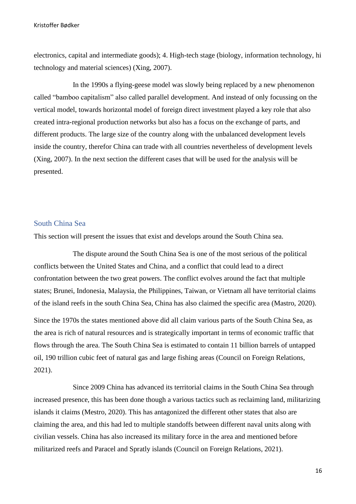electronics, capital and intermediate goods); 4. High-tech stage (biology, information technology, hi technology and material sciences) (Xing, 2007).

In the 1990s a flying-geese model was slowly being replaced by a new phenomenon called "bamboo capitalism" also called parallel development. And instead of only focussing on the vertical model, towards horizontal model of foreign direct investment played a key role that also created intra-regional production networks but also has a focus on the exchange of parts, and different products. The large size of the country along with the unbalanced development levels inside the country, therefor China can trade with all countries nevertheless of development levels (Xing, 2007). In the next section the different cases that will be used for the analysis will be presented.

## <span id="page-16-0"></span>South China Sea

This section will present the issues that exist and develops around the South China sea.

The dispute around the South China Sea is one of the most serious of the political conflicts between the United States and China, and a conflict that could lead to a direct confrontation between the two great powers. The conflict evolves around the fact that multiple states; Brunei, Indonesia, Malaysia, the Philippines, Taiwan, or Vietnam all have territorial claims of the island reefs in the south China Sea, China has also claimed the specific area (Mastro, 2020).

Since the 1970s the states mentioned above did all claim various parts of the South China Sea, as the area is rich of natural resources and is strategically important in terms of economic traffic that flows through the area. The South China Sea is estimated to contain 11 billion barrels of untapped oil, 190 trillion cubic feet of natural gas and large fishing areas (Council on Foreign Relations, 2021).

Since 2009 China has advanced its territorial claims in the South China Sea through increased presence, this has been done though a various tactics such as reclaiming land, militarizing islands it claims (Mestro, 2020). This has antagonized the different other states that also are claiming the area, and this had led to multiple standoffs between different naval units along with civilian vessels. China has also increased its military force in the area and mentioned before militarized reefs and Paracel and Spratly islands (Council on Foreign Relations, 2021).

16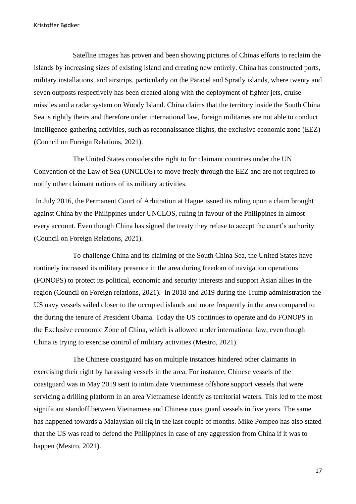Satellite images has proven and been showing pictures of Chinas efforts to reclaim the islands by increasing sizes of existing island and creating new entirely. China has constructed ports, military installations, and airstrips, particularly on the Paracel and Spratly islands, where twenty and seven outposts respectively has been created along with the deployment of fighter jets, cruise missiles and a radar system on Woody Island. China claims that the territory inside the South China Sea is rightly theirs and therefore under international law, foreign militaries are not able to conduct intelligence-gathering activities, such as reconnaissance flights, the exclusive economic zone (EEZ) (Council on Foreign Relations, 2021).

The United States considers the right to for claimant countries under the UN Convention of the Law of Sea (UNCLOS) to move freely through the EEZ and are not required to notify other claimant nations of its military activities.

In July 2016, the Permanent Court of Arbitration at Hague issued its ruling upon a claim brought against China by the Philippines under UNCLOS, ruling in favour of the Philippines in almost every account. Even though China has signed the treaty they refuse to accept the court's authority (Council on Foreign Relations, 2021).

To challenge China and its claiming of the South China Sea, the United States have routinely increased its military presence in the area during freedom of navigation operations (FONOPS) to protect its political, economic and security interests and support Asian allies in the region (Council on Foreign relations, 2021). In 2018 and 2019 during the Trump administration the US navy vessels sailed closer to the occupied islands and more frequently in the area compared to the during the tenure of President Obama. Today the US continues to operate and do FONOPS in the Exclusive economic Zone of China, which is allowed under international law, even though China is trying to exercise control of military activities (Mestro, 2021).

The Chinese coastguard has on multiple instances hindered other claimants in exercising their right by harassing vessels in the area. For instance, Chinese vessels of the coastguard was in May 2019 sent to intimidate Vietnamese offshore support vessels that were servicing a drilling platform in an area Vietnamese identify as territorial waters. This led to the most significant standoff between Vietnamese and Chinese coastguard vessels in five years. The same has happened towards a Malaysian oil rig in the last couple of months. Mike Pompeo has also stated that the US was read to defend the Philippines in case of any aggression from China if it was to happen (Mestro, 2021).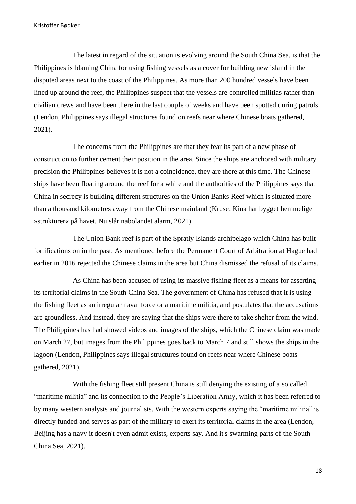The latest in regard of the situation is evolving around the South China Sea, is that the Philippines is blaming China for using fishing vessels as a cover for building new island in the disputed areas next to the coast of the Philippines. As more than 200 hundred vessels have been lined up around the reef, the Philippines suspect that the vessels are controlled militias rather than civilian crews and have been there in the last couple of weeks and have been spotted during patrols (Lendon, Philippines says illegal structures found on reefs near where Chinese boats gathered, 2021).

The concerns from the Philippines are that they fear its part of a new phase of construction to further cement their position in the area. Since the ships are anchored with military precision the Philippines believes it is not a coincidence, they are there at this time. The Chinese ships have been floating around the reef for a while and the authorities of the Philippines says that China in secrecy is building different structures on the Union Banks Reef which is situated more than a thousand kilometres away from the Chinese mainland (Kruse, Kina har bygget hemmelige »strukturer« på havet. Nu slår nabolandet alarm, 2021).

The Union Bank reef is part of the Spratly Islands archipelago which China has built fortifications on in the past. As mentioned before the Permanent Court of Arbitration at Hague had earlier in 2016 rejected the Chinese claims in the area but China dismissed the refusal of its claims.

As China has been accused of using its massive fishing fleet as a means for asserting its territorial claims in the South China Sea. The government of China has refused that it is using the fishing fleet as an irregular naval force or a maritime militia, and postulates that the accusations are groundless. And instead, they are saying that the ships were there to take shelter from the wind. The Philippines has had showed videos and images of the ships, which the Chinese claim was made on March 27, but images from the Philippines goes back to March 7 and still shows the ships in the lagoon (Lendon, Philippines says illegal structures found on reefs near where Chinese boats gathered, 2021).

With the fishing fleet still present China is still denying the existing of a so called "maritime militia" and its connection to the People's Liberation Army, which it has been referred to by many western analysts and journalists. With the western experts saying the "maritime militia" is directly funded and serves as part of the military to exert its territorial claims in the area (Lendon, Beijing has a navy it doesn't even admit exists, experts say. And it's swarming parts of the South China Sea, 2021).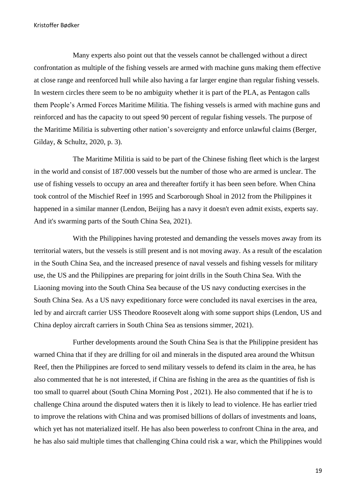Many experts also point out that the vessels cannot be challenged without a direct confrontation as multiple of the fishing vessels are armed with machine guns making them effective at close range and reenforced hull while also having a far larger engine than regular fishing vessels. In western circles there seem to be no ambiguity whether it is part of the PLA, as Pentagon calls them People's Armed Forces Maritime Militia. The fishing vessels is armed with machine guns and reinforced and has the capacity to out speed 90 percent of regular fishing vessels. The purpose of the Maritime Militia is subverting other nation's sovereignty and enforce unlawful claims (Berger, Gilday, & Schultz, 2020, p. 3).

The Maritime Militia is said to be part of the Chinese fishing fleet which is the largest in the world and consist of 187.000 vessels but the number of those who are armed is unclear. The use of fishing vessels to occupy an area and thereafter fortify it has been seen before. When China took control of the Mischief Reef in 1995 and Scarborough Shoal in 2012 from the Philippines it happened in a similar manner (Lendon, Beijing has a navy it doesn't even admit exists, experts say. And it's swarming parts of the South China Sea, 2021).

With the Philippines having protested and demanding the vessels moves away from its territorial waters, but the vessels is still present and is not moving away. As a result of the escalation in the South China Sea, and the increased presence of naval vessels and fishing vessels for military use, the US and the Philippines are preparing for joint drills in the South China Sea. With the Liaoning moving into the South China Sea because of the US navy conducting exercises in the South China Sea. As a US navy expeditionary force were concluded its naval exercises in the area, led by and aircraft carrier USS Theodore Roosevelt along with some support ships (Lendon, US and China deploy aircraft carriers in South China Sea as tensions simmer, 2021).

Further developments around the South China Sea is that the Philippine president has warned China that if they are drilling for oil and minerals in the disputed area around the Whitsun Reef, then the Philippines are forced to send military vessels to defend its claim in the area, he has also commented that he is not interested, if China are fishing in the area as the quantities of fish is too small to quarrel about (South China Morning Post , 2021). He also commented that if he is to challenge China around the disputed waters then it is likely to lead to violence. He has earlier tried to improve the relations with China and was promised billions of dollars of investments and loans, which yet has not materialized itself. He has also been powerless to confront China in the area, and he has also said multiple times that challenging China could risk a war, which the Philippines would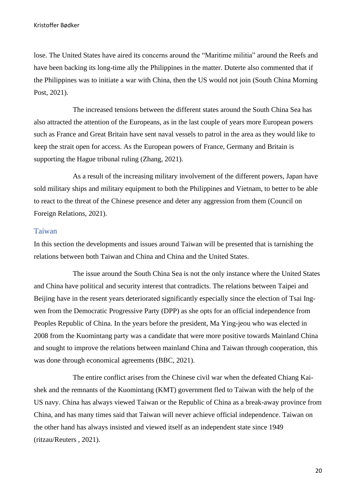lose. The United States have aired its concerns around the "Maritime militia" around the Reefs and have been backing its long-time ally the Philippines in the matter. Duterte also commented that if the Philippines was to initiate a war with China, then the US would not join (South China Morning Post, 2021).

The increased tensions between the different states around the South China Sea has also attracted the attention of the Europeans, as in the last couple of years more European powers such as France and Great Britain have sent naval vessels to patrol in the area as they would like to keep the strait open for access. As the European powers of France, Germany and Britain is supporting the Hague tribunal ruling (Zhang, 2021).

As a result of the increasing military involvement of the different powers, Japan have sold military ships and military equipment to both the Philippines and Vietnam, to better to be able to react to the threat of the Chinese presence and deter any aggression from them (Council on Foreign Relations, 2021).

### <span id="page-20-0"></span>Taiwan

In this section the developments and issues around Taiwan will be presented that is tarnishing the relations between both Taiwan and China and China and the United States.

The issue around the South China Sea is not the only instance where the United States and China have political and security interest that contradicts. The relations between Taipei and Beijing have in the resent years deteriorated significantly especially since the election of Tsai Ingwen from the Democratic Progressive Party (DPP) as she opts for an official independence from Peoples Republic of China. In the years before the president, Ma Ying-jeou who was elected in 2008 from the Kuomintang party was a candidate that were more positive towards Mainland China and sought to improve the relations between mainland China and Taiwan through cooperation, this was done through economical agreements (BBC, 2021).

The entire conflict arises from the Chinese civil war when the defeated Chiang Kaishek and the remnants of the Kuomintang (KMT) government fled to Taiwan with the help of the US navy. China has always viewed Taiwan or the Republic of China as a break-away province from China, and has many times said that Taiwan will never achieve official independence. Taiwan on the other hand has always insisted and viewed itself as an independent state since 1949 (ritzau/Reuters , 2021).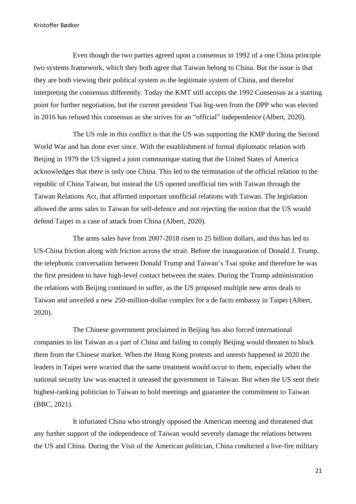Even though the two parties agreed upon a consensus in 1992 of a one China principle two systems framework, which they both agree that Taiwan belong to China. But the issue is that they are both viewing their political system as the legitimate system of China, and therefor interpreting the consensus differently. Today the KMT still accepts the 1992 Consensus as a starting point for further negotiation, but the current president Tsai Ing-wen from the DPP who was elected in 2016 has refused this consensus as she strives for an "official" independence (Albert, 2020).

The US role in this conflict is that the US was supporting the KMP during the Second World War and has done ever since. With the establishment of formal diplomatic relation with Beijing in 1979 the US signed a joint communique stating that the United States of America acknowledges that there is only one China. This led to the termination of the official relation to the republic of China Taiwan, but instead the US opened unofficial ties with Taiwan through the Taiwan Relations Act, that affirmed important unofficial relations with Taiwan. The legislation allowed the arms sales to Taiwan for self-defence and not rejecting the notion that the US would defend Taipei in a case of attack from China (Albert, 2020).

The arms sales have from 2007-2018 risen to 25 billion dollars, and this has led to US-China friction along with friction across the strait. Before the inauguration of Donald J. Trump, the telephonic conversation between Donald Trump and Taiwan's Tsai spoke and therefore he was the first president to have high-level contact between the states. During the Trump administration the relations with Beijing continued to suffer, as the US proposed multiple new arms deals to Taiwan and unveiled a new 250-million-dollar complex for a de facto embassy in Taipei (Albert, 2020).

The Chinese government proclaimed in Beijing has also forced international companies to list Taiwan as a part of China and failing to comply Beijing would threaten to block them from the Chinese market. When the Hong Kong protests and unrests happened in 2020 the leaders in Taipei were worried that the same treatment would occur to them, especially when the national security law was enacted it uneased the government in Taiwan. But when the US sent their highest-ranking politician to Taiwan to hold meetings and guarantee the commitment to Taiwan (BBC, 2021).

It infuriated China who strongly opposed the American meeting and threatened that any further support of the independence of Taiwan would severely damage the relations between the US and China. During the Visit of the American politician, China conducted a live-fire military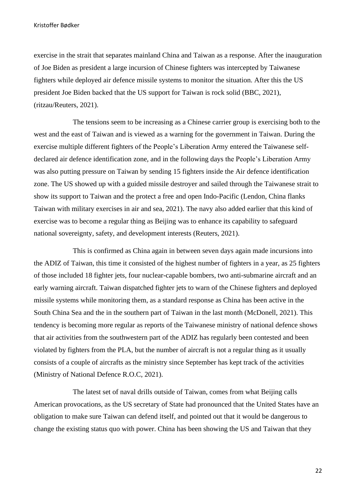exercise in the strait that separates mainland China and Taiwan as a response. After the inauguration of Joe Biden as president a large incursion of Chinese fighters was intercepted by Taiwanese fighters while deployed air defence missile systems to monitor the situation. After this the US president Joe Biden backed that the US support for Taiwan is rock solid (BBC, 2021), (ritzau/Reuters, 2021).

The tensions seem to be increasing as a Chinese carrier group is exercising both to the west and the east of Taiwan and is viewed as a warning for the government in Taiwan. During the exercise multiple different fighters of the People's Liberation Army entered the Taiwanese selfdeclared air defence identification zone, and in the following days the People's Liberation Army was also putting pressure on Taiwan by sending 15 fighters inside the Air defence identification zone. The US showed up with a guided missile destroyer and sailed through the Taiwanese strait to show its support to Taiwan and the protect a free and open Indo-Pacific (Lendon, China flanks Taiwan with military exercises in air and sea, 2021). The navy also added earlier that this kind of exercise was to become a regular thing as Beijing was to enhance its capability to safeguard national sovereignty, safety, and development interests (Reuters, 2021).

This is confirmed as China again in between seven days again made incursions into the ADIZ of Taiwan, this time it consisted of the highest number of fighters in a year, as 25 fighters of those included 18 fighter jets, four nuclear-capable bombers, two anti-submarine aircraft and an early warning aircraft. Taiwan dispatched fighter jets to warn of the Chinese fighters and deployed missile systems while monitoring them, as a standard response as China has been active in the South China Sea and the in the southern part of Taiwan in the last month (McDonell, 2021). This tendency is becoming more regular as reports of the Taiwanese ministry of national defence shows that air activities from the southwestern part of the ADIZ has regularly been contested and been violated by fighters from the PLA, but the number of aircraft is not a regular thing as it usually consists of a couple of aircrafts as the ministry since September has kept track of the activities (Ministry of National Defence R.O.C, 2021).

The latest set of naval drills outside of Taiwan, comes from what Beijing calls American provocations, as the US secretary of State had pronounced that the United States have an obligation to make sure Taiwan can defend itself, and pointed out that it would be dangerous to change the existing status quo with power. China has been showing the US and Taiwan that they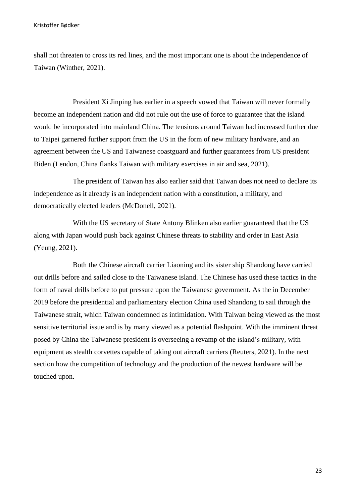shall not threaten to cross its red lines, and the most important one is about the independence of Taiwan (Winther, 2021).

President Xi Jinping has earlier in a speech vowed that Taiwan will never formally become an independent nation and did not rule out the use of force to guarantee that the island would be incorporated into mainland China. The tensions around Taiwan had increased further due to Taipei garnered further support from the US in the form of new military hardware, and an agreement between the US and Taiwanese coastguard and further guarantees from US president Biden (Lendon, China flanks Taiwan with military exercises in air and sea, 2021).

The president of Taiwan has also earlier said that Taiwan does not need to declare its independence as it already is an independent nation with a constitution, a military, and democratically elected leaders (McDonell, 2021).

With the US secretary of State Antony Blinken also earlier guaranteed that the US along with Japan would push back against Chinese threats to stability and order in East Asia (Yeung, 2021).

Both the Chinese aircraft carrier Liaoning and its sister ship Shandong have carried out drills before and sailed close to the Taiwanese island. The Chinese has used these tactics in the form of naval drills before to put pressure upon the Taiwanese government. As the in December 2019 before the presidential and parliamentary election China used Shandong to sail through the Taiwanese strait, which Taiwan condemned as intimidation. With Taiwan being viewed as the most sensitive territorial issue and is by many viewed as a potential flashpoint. With the imminent threat posed by China the Taiwanese president is overseeing a revamp of the island's military, with equipment as stealth corvettes capable of taking out aircraft carriers (Reuters, 2021). In the next section how the competition of technology and the production of the newest hardware will be touched upon.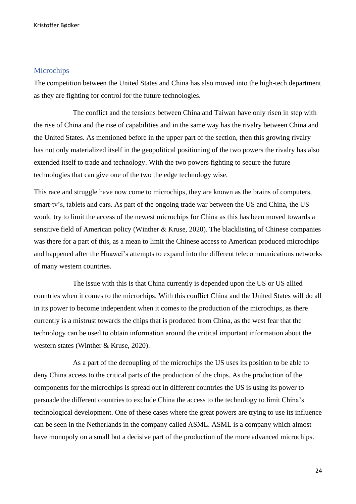# <span id="page-24-0"></span>**Microchips**

The competition between the United States and China has also moved into the high-tech department as they are fighting for control for the future technologies.

The conflict and the tensions between China and Taiwan have only risen in step with the rise of China and the rise of capabilities and in the same way has the rivalry between China and the United States. As mentioned before in the upper part of the section, then this growing rivalry has not only materialized itself in the geopolitical positioning of the two powers the rivalry has also extended itself to trade and technology. With the two powers fighting to secure the future technologies that can give one of the two the edge technology wise.

This race and struggle have now come to microchips, they are known as the brains of computers, smart-tv's, tablets and cars. As part of the ongoing trade war between the US and China, the US would try to limit the access of the newest microchips for China as this has been moved towards a sensitive field of American policy (Winther & Kruse, 2020). The blacklisting of Chinese companies was there for a part of this, as a mean to limit the Chinese access to American produced microchips and happened after the Huawei's attempts to expand into the different telecommunications networks of many western countries.

The issue with this is that China currently is depended upon the US or US allied countries when it comes to the microchips. With this conflict China and the United States will do all in its power to become independent when it comes to the production of the microchips, as there currently is a mistrust towards the chips that is produced from China, as the west fear that the technology can be used to obtain information around the critical important information about the western states (Winther & Kruse, 2020).

As a part of the decoupling of the microchips the US uses its position to be able to deny China access to the critical parts of the production of the chips. As the production of the components for the microchips is spread out in different countries the US is using its power to persuade the different countries to exclude China the access to the technology to limit China's technological development. One of these cases where the great powers are trying to use its influence can be seen in the Netherlands in the company called ASML. ASML is a company which almost have monopoly on a small but a decisive part of the production of the more advanced microchips.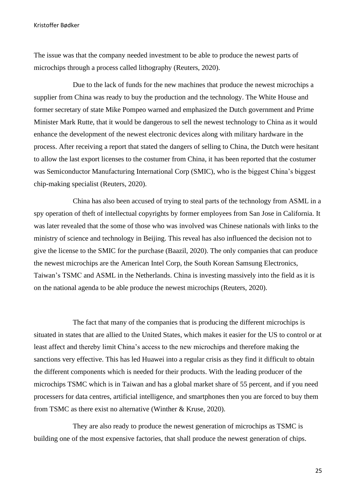The issue was that the company needed investment to be able to produce the newest parts of microchips through a process called lithography (Reuters, 2020).

Due to the lack of funds for the new machines that produce the newest microchips a supplier from China was ready to buy the production and the technology. The White House and former secretary of state Mike Pompeo warned and emphasized the Dutch government and Prime Minister Mark Rutte, that it would be dangerous to sell the newest technology to China as it would enhance the development of the newest electronic devices along with military hardware in the process. After receiving a report that stated the dangers of selling to China, the Dutch were hesitant to allow the last export licenses to the costumer from China, it has been reported that the costumer was Semiconductor Manufacturing International Corp (SMIC), who is the biggest China's biggest chip-making specialist (Reuters, 2020).

China has also been accused of trying to steal parts of the technology from ASML in a spy operation of theft of intellectual copyrights by former employees from San Jose in California. It was later revealed that the some of those who was involved was Chinese nationals with links to the ministry of science and technology in Beijing. This reveal has also influenced the decision not to give the license to the SMIC for the purchase (Baazil, 2020). The only companies that can produce the newest microchips are the American Intel Corp, the South Korean Samsung Electronics, Taiwan's TSMC and ASML in the Netherlands. China is investing massively into the field as it is on the national agenda to be able produce the newest microchips (Reuters, 2020).

The fact that many of the companies that is producing the different microchips is situated in states that are allied to the United States, which makes it easier for the US to control or at least affect and thereby limit China's access to the new microchips and therefore making the sanctions very effective. This has led Huawei into a regular crisis as they find it difficult to obtain the different components which is needed for their products. With the leading producer of the microchips TSMC which is in Taiwan and has a global market share of 55 percent, and if you need processers for data centres, artificial intelligence, and smartphones then you are forced to buy them from TSMC as there exist no alternative (Winther & Kruse, 2020).

They are also ready to produce the newest generation of microchips as TSMC is building one of the most expensive factories, that shall produce the newest generation of chips.

25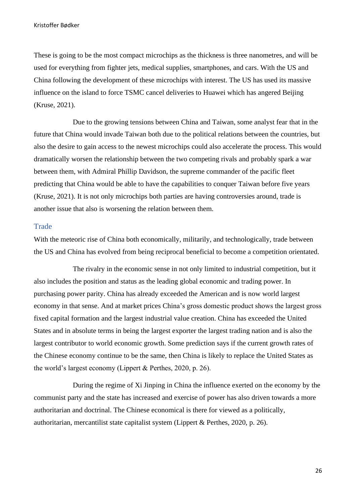These is going to be the most compact microchips as the thickness is three nanometres, and will be used for everything from fighter jets, medical supplies, smartphones, and cars. With the US and China following the development of these microchips with interest. The US has used its massive influence on the island to force TSMC cancel deliveries to Huawei which has angered Beijing (Kruse, 2021).

Due to the growing tensions between China and Taiwan, some analyst fear that in the future that China would invade Taiwan both due to the political relations between the countries, but also the desire to gain access to the newest microchips could also accelerate the process. This would dramatically worsen the relationship between the two competing rivals and probably spark a war between them, with Admiral Phillip Davidson, the supreme commander of the pacific fleet predicting that China would be able to have the capabilities to conquer Taiwan before five years (Kruse, 2021). It is not only microchips both parties are having controversies around, trade is another issue that also is worsening the relation between them.

## <span id="page-26-0"></span>**Trade**

With the meteoric rise of China both economically, militarily, and technologically, trade between the US and China has evolved from being reciprocal beneficial to become a competition orientated.

The rivalry in the economic sense in not only limited to industrial competition, but it also includes the position and status as the leading global economic and trading power. In purchasing power parity. China has already exceeded the American and is now world largest economy in that sense. And at market prices China's gross domestic product shows the largest gross fixed capital formation and the largest industrial value creation. China has exceeded the United States and in absolute terms in being the largest exporter the largest trading nation and is also the largest contributor to world economic growth. Some prediction says if the current growth rates of the Chinese economy continue to be the same, then China is likely to replace the United States as the world's largest economy (Lippert & Perthes, 2020, p. 26).

During the regime of Xi Jinping in China the influence exerted on the economy by the communist party and the state has increased and exercise of power has also driven towards a more authoritarian and doctrinal. The Chinese economical is there for viewed as a politically, authoritarian, mercantilist state capitalist system (Lippert & Perthes, 2020, p. 26).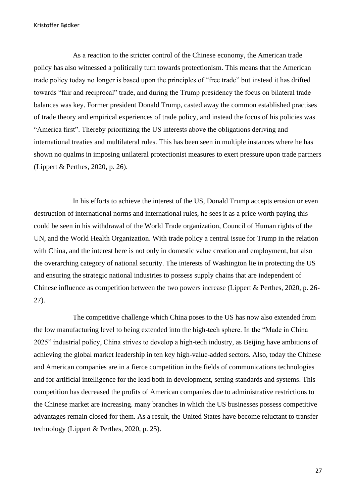As a reaction to the stricter control of the Chinese economy, the American trade policy has also witnessed a politically turn towards protectionism. This means that the American trade policy today no longer is based upon the principles of "free trade" but instead it has drifted towards "fair and reciprocal" trade, and during the Trump presidency the focus on bilateral trade balances was key. Former president Donald Trump, casted away the common established practises of trade theory and empirical experiences of trade policy, and instead the focus of his policies was "America first". Thereby prioritizing the US interests above the obligations deriving and international treaties and multilateral rules. This has been seen in multiple instances where he has shown no qualms in imposing unilateral protectionist measures to exert pressure upon trade partners (Lippert & Perthes, 2020, p. 26).

In his efforts to achieve the interest of the US, Donald Trump accepts erosion or even destruction of international norms and international rules, he sees it as a price worth paying this could be seen in his withdrawal of the World Trade organization, Council of Human rights of the UN, and the World Health Organization. With trade policy a central issue for Trump in the relation with China, and the interest here is not only in domestic value creation and employment, but also the overarching category of national security. The interests of Washington lie in protecting the US and ensuring the strategic national industries to possess supply chains that are independent of Chinese influence as competition between the two powers increase (Lippert & Perthes, 2020, p. 26- 27).

The competitive challenge which China poses to the US has now also extended from the low manufacturing level to being extended into the high-tech sphere. In the "Made in China 2025" industrial policy, China strives to develop a high-tech industry, as Beijing have ambitions of achieving the global market leadership in ten key high-value-added sectors. Also, today the Chinese and American companies are in a fierce competition in the fields of communications technologies and for artificial intelligence for the lead both in development, setting standards and systems. This competition has decreased the profits of American companies due to administrative restrictions to the Chinese market are increasing. many branches in which the US businesses possess competitive advantages remain closed for them. As a result, the United States have become reluctant to transfer technology (Lippert & Perthes, 2020, p. 25).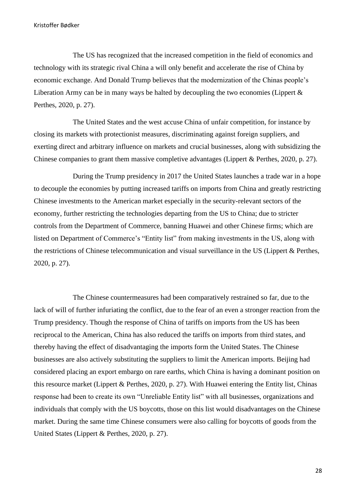The US has recognized that the increased competition in the field of economics and technology with its strategic rival China a will only benefit and accelerate the rise of China by economic exchange. And Donald Trump believes that the modernization of the Chinas people's Liberation Army can be in many ways be halted by decoupling the two economies (Lippert  $\&$ Perthes, 2020, p. 27).

The United States and the west accuse China of unfair competition, for instance by closing its markets with protectionist measures, discriminating against foreign suppliers, and exerting direct and arbitrary influence on markets and crucial businesses, along with subsidizing the Chinese companies to grant them massive completive advantages (Lippert & Perthes, 2020, p. 27).

During the Trump presidency in 2017 the United States launches a trade war in a hope to decouple the economies by putting increased tariffs on imports from China and greatly restricting Chinese investments to the American market especially in the security-relevant sectors of the economy, further restricting the technologies departing from the US to China; due to stricter controls from the Department of Commerce, banning Huawei and other Chinese firms; which are listed on Department of Commerce's "Entity list" from making investments in the US, along with the restrictions of Chinese telecommunication and visual surveillance in the US (Lippert & Perthes, 2020, p. 27).

The Chinese countermeasures had been comparatively restrained so far, due to the lack of will of further infuriating the conflict, due to the fear of an even a stronger reaction from the Trump presidency. Though the response of China of tariffs on imports from the US has been reciprocal to the American, China has also reduced the tariffs on imports from third states, and thereby having the effect of disadvantaging the imports form the United States. The Chinese businesses are also actively substituting the suppliers to limit the American imports. Beijing had considered placing an export embargo on rare earths, which China is having a dominant position on this resource market (Lippert & Perthes, 2020, p. 27). With Huawei entering the Entity list, Chinas response had been to create its own "Unreliable Entity list" with all businesses, organizations and individuals that comply with the US boycotts, those on this list would disadvantages on the Chinese market. During the same time Chinese consumers were also calling for boycotts of goods from the United States (Lippert & Perthes, 2020, p. 27).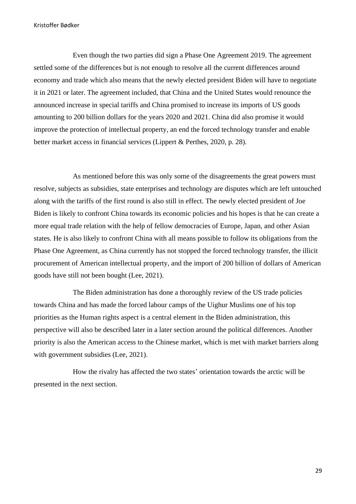Even though the two parties did sign a Phase One Agreement 2019. The agreement settled some of the differences but is not enough to resolve all the current differences around economy and trade which also means that the newly elected president Biden will have to negotiate it in 2021 or later. The agreement included, that China and the United States would renounce the announced increase in special tariffs and China promised to increase its imports of US goods amounting to 200 billion dollars for the years 2020 and 2021. China did also promise it would improve the protection of intellectual property, an end the forced technology transfer and enable better market access in financial services (Lippert & Perthes, 2020, p. 28).

As mentioned before this was only some of the disagreements the great powers must resolve, subjects as subsidies, state enterprises and technology are disputes which are left untouched along with the tariffs of the first round is also still in effect. The newly elected president of Joe Biden is likely to confront China towards its economic policies and his hopes is that he can create a more equal trade relation with the help of fellow democracies of Europe, Japan, and other Asian states. He is also likely to confront China with all means possible to follow its obligations from the Phase One Agreement, as China currently has not stopped the forced technology transfer, the illicit procurement of American intellectual property, and the import of 200 billion of dollars of American goods have still not been bought (Lee, 2021).

The Biden administration has done a thoroughly review of the US trade policies towards China and has made the forced labour camps of the Uighur Muslims one of his top priorities as the Human rights aspect is a central element in the Biden administration, this perspective will also be described later in a later section around the political differences. Another priority is also the American access to the Chinese market, which is met with market barriers along with government subsidies (Lee, 2021).

How the rivalry has affected the two states' orientation towards the arctic will be presented in the next section.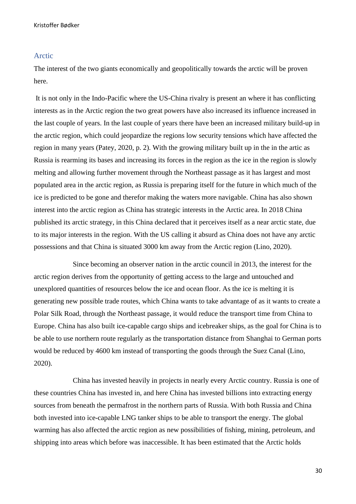## <span id="page-30-0"></span>Arctic

The interest of the two giants economically and geopolitically towards the arctic will be proven here.

It is not only in the Indo-Pacific where the US-China rivalry is present an where it has conflicting interests as in the Arctic region the two great powers have also increased its influence increased in the last couple of years. In the last couple of years there have been an increased military build-up in the arctic region, which could jeopardize the regions low security tensions which have affected the region in many years (Patey, 2020, p. 2). With the growing military built up in the in the artic as Russia is rearming its bases and increasing its forces in the region as the ice in the region is slowly melting and allowing further movement through the Northeast passage as it has largest and most populated area in the arctic region, as Russia is preparing itself for the future in which much of the ice is predicted to be gone and therefor making the waters more navigable. China has also shown interest into the arctic region as China has strategic interests in the Arctic area. In 2018 China published its arctic strategy, in this China declared that it perceives itself as a near arctic state, due to its major interests in the region. With the US calling it absurd as China does not have any arctic possessions and that China is situated 3000 km away from the Arctic region (Lino, 2020).

Since becoming an observer nation in the arctic council in 2013, the interest for the arctic region derives from the opportunity of getting access to the large and untouched and unexplored quantities of resources below the ice and ocean floor. As the ice is melting it is generating new possible trade routes, which China wants to take advantage of as it wants to create a Polar Silk Road, through the Northeast passage, it would reduce the transport time from China to Europe. China has also built ice-capable cargo ships and icebreaker ships, as the goal for China is to be able to use northern route regularly as the transportation distance from Shanghai to German ports would be reduced by 4600 km instead of transporting the goods through the Suez Canal (Lino, 2020).

China has invested heavily in projects in nearly every Arctic country. Russia is one of these countries China has invested in, and here China has invested billions into extracting energy sources from beneath the permafrost in the northern parts of Russia. With both Russia and China both invested into ice-capable LNG tanker ships to be able to transport the energy. The global warming has also affected the arctic region as new possibilities of fishing, mining, petroleum, and shipping into areas which before was inaccessible. It has been estimated that the Arctic holds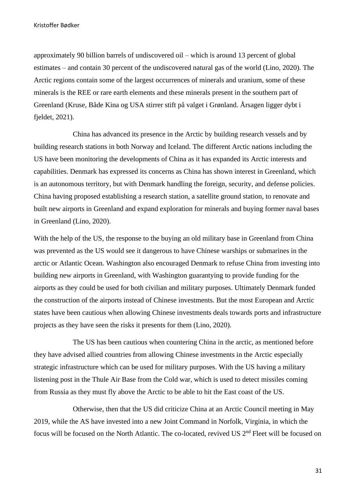approximately 90 billion barrels of undiscovered oil – which is around 13 percent of global estimates – and contain 30 percent of the undiscovered natural gas of the world (Lino, 2020). The Arctic regions contain some of the largest occurrences of minerals and uranium, some of these minerals is the REE or rare earth elements and these minerals present in the southern part of Greenland (Kruse, Både Kina og USA stirrer stift på valget i Grønland. Årsagen ligger dybt i fjeldet, 2021).

China has advanced its presence in the Arctic by building research vessels and by building research stations in both Norway and Iceland. The different Arctic nations including the US have been monitoring the developments of China as it has expanded its Arctic interests and capabilities. Denmark has expressed its concerns as China has shown interest in Greenland, which is an autonomous territory, but with Denmark handling the foreign, security, and defense policies. China having proposed establishing a research station, a satellite ground station, to renovate and built new airports in Greenland and expand exploration for minerals and buying former naval bases in Greenland (Lino, 2020).

With the help of the US, the response to the buying an old military base in Greenland from China was prevented as the US would see it dangerous to have Chinese warships or submarines in the arctic or Atlantic Ocean. Washington also encouraged Denmark to refuse China from investing into building new airports in Greenland, with Washington guarantying to provide funding for the airports as they could be used for both civilian and military purposes. Ultimately Denmark funded the construction of the airports instead of Chinese investments. But the most European and Arctic states have been cautious when allowing Chinese investments deals towards ports and infrastructure projects as they have seen the risks it presents for them (Lino, 2020).

The US has been cautious when countering China in the arctic, as mentioned before they have advised allied countries from allowing Chinese investments in the Arctic especially strategic infrastructure which can be used for military purposes. With the US having a military listening post in the Thule Air Base from the Cold war, which is used to detect missiles coming from Russia as they must fly above the Arctic to be able to hit the East coast of the US.

Otherwise, then that the US did criticize China at an Arctic Council meeting in May 2019, while the AS have invested into a new Joint Command in Norfolk, Virginia, in which the focus will be focused on the North Atlantic. The co-located, revived US 2<sup>nd</sup> Fleet will be focused on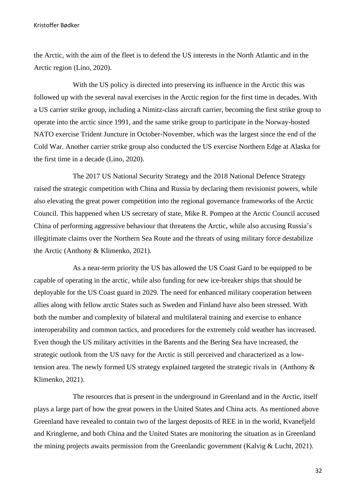the Arctic, with the aim of the fleet is to defend the US interests in the North Atlantic and in the Arctic region (Lino, 2020).

With the US policy is directed into preserving its influence in the Arctic this was followed up with the several naval exercises in the Arctic region for the first time in decades. With a US carrier strike group, including a Nimitz-class aircraft carrier, becoming the first strike group to operate into the arctic since 1991, and the same strike group to participate in the Norway-hosted NATO exercise Trident Juncture in October-November, which was the largest since the end of the Cold War. Another carrier strike group also conducted the US exercise Northern Edge at Alaska for the first time in a decade (Lino, 2020).

The 2017 US National Security Strategy and the 2018 National Defence Strategy raised the strategic competition with China and Russia by declaring them revisionist powers, while also elevating the great power competition into the regional governance frameworks of the Arctic Council. This happened when US secretary of state, Mike R. Pompeo at the Arctic Council accused China of performing aggressive behaviour that threatens the Arctic, while also accusing Russia's illegitimate claims over the Northern Sea Route and the threats of using military force destabilize the Arctic (Anthony & Klimenko, 2021).

As a near-term priority the US has allowed the US Coast Gard to be equipped to be capable of operating in the arctic, while also funding for new ice-breaker ships that should be deployable for the US Coast guard in 2029. The need for enhanced military cooperation between allies along with fellow arctic States such as Sweden and Finland have also been stressed. With both the number and complexity of bilateral and multilateral training and exercise to enhance interoperability and common tactics, and procedures for the extremely cold weather has increased. Even though the US military activities in the Barents and the Bering Sea have increased, the strategic outlook from the US navy for the Arctic is still perceived and characterized as a lowtension area. The newly formed US strategy explained targeted the strategic rivals in (Anthony & Klimenko, 2021).

The resources that is present in the underground in Greenland and in the Arctic, itself plays a large part of how the great powers in the United States and China acts. As mentioned above Greenland have revealed to contain two of the largest deposits of REE in in the world, Kvanefjeld and Kringlerne, and both China and the United States are monitoring the situation as in Greenland the mining projects awaits permission from the Greenlandic government (Kalvig & Lucht, 2021).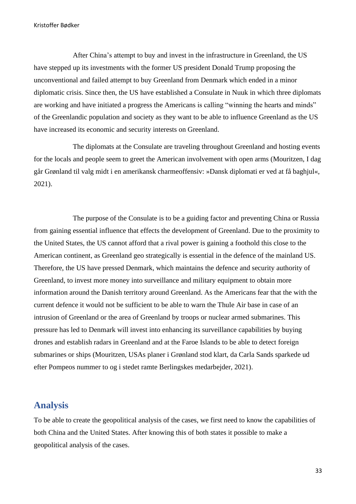After China's attempt to buy and invest in the infrastructure in Greenland, the US have stepped up its investments with the former US president Donald Trump proposing the unconventional and failed attempt to buy Greenland from Denmark which ended in a minor diplomatic crisis. Since then, the US have established a Consulate in Nuuk in which three diplomats are working and have initiated a progress the Americans is calling "winning the hearts and minds" of the Greenlandic population and society as they want to be able to influence Greenland as the US have increased its economic and security interests on Greenland.

The diplomats at the Consulate are traveling throughout Greenland and hosting events for the locals and people seem to greet the American involvement with open arms (Mouritzen, I dag går Grønland til valg midt i en amerikansk charmeoffensiv: »Dansk diplomati er ved at få baghjul«, 2021).

The purpose of the Consulate is to be a guiding factor and preventing China or Russia from gaining essential influence that effects the development of Greenland. Due to the proximity to the United States, the US cannot afford that a rival power is gaining a foothold this close to the American continent, as Greenland geo strategically is essential in the defence of the mainland US. Therefore, the US have pressed Denmark, which maintains the defence and security authority of Greenland, to invest more money into surveillance and military equipment to obtain more information around the Danish territory around Greenland. As the Americans fear that the with the current defence it would not be sufficient to be able to warn the Thule Air base in case of an intrusion of Greenland or the area of Greenland by troops or nuclear armed submarines. This pressure has led to Denmark will invest into enhancing its surveillance capabilities by buying drones and establish radars in Greenland and at the Faroe Islands to be able to detect foreign submarines or ships (Mouritzen, USAs planer i Grønland stod klart, da Carla Sands sparkede ud efter Pompeos nummer to og i stedet ramte Berlingskes medarbejder, 2021).

# <span id="page-33-0"></span>**Analysis**

To be able to create the geopolitical analysis of the cases, we first need to know the capabilities of both China and the United States. After knowing this of both states it possible to make a geopolitical analysis of the cases.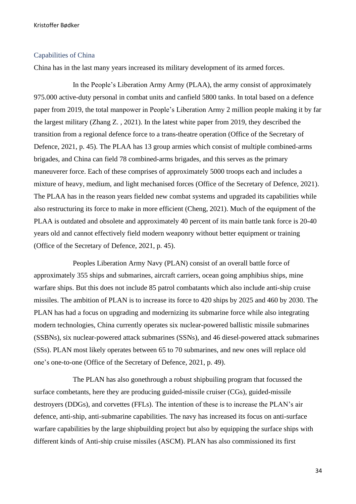# <span id="page-34-0"></span>Capabilities of China

China has in the last many years increased its military development of its armed forces.

In the People's Liberation Army Army (PLAA), the army consist of approximately 975.000 active-duty personal in combat units and canfield 5800 tanks. In total based on a defence paper from 2019, the total manpower in People's Liberation Army 2 million people making it by far the largest military (Zhang Z. , 2021). In the latest white paper from 2019, they described the transition from a regional defence force to a trans-theatre operation (Office of the Secretary of Defence, 2021, p. 45). The PLAA has 13 group armies which consist of multiple combined-arms brigades, and China can field 78 combined-arms brigades, and this serves as the primary maneuverer force. Each of these comprises of approximately 5000 troops each and includes a mixture of heavy, medium, and light mechanised forces (Office of the Secretary of Defence, 2021). The PLAA has in the reason years fielded new combat systems and upgraded its capabilities while also restructuring its force to make in more efficient (Cheng, 2021). Much of the equipment of the PLAA is outdated and obsolete and approximately 40 percent of its main battle tank force is 20-40 years old and cannot effectively field modern weaponry without better equipment or training (Office of the Secretary of Defence, 2021, p. 45).

Peoples Liberation Army Navy (PLAN) consist of an overall battle force of approximately 355 ships and submarines, aircraft carriers, ocean going amphibius ships, mine warfare ships. But this does not include 85 patrol combatants which also include anti-ship cruise missiles. The ambition of PLAN is to increase its force to 420 ships by 2025 and 460 by 2030. The PLAN has had a focus on upgrading and modernizing its submarine force while also integrating modern technologies, China currently operates six nuclear-powered ballistic missile submarines (SSBNs), six nuclear-powered attack submarines (SSNs), and 46 diesel-powered attack submarines (SSs). PLAN most likely operates between 65 to 70 submarines, and new ones will replace old one's one-to-one (Office of the Secretary of Defence, 2021, p. 49).

The PLAN has also gonethrough a robust shipbuiling program that focussed the surface combetants, here they are producing guided-missile cruiser (CGs), guided-missile destroyers (DDGs), and corvettes (FFLs). The intention of these is to increase the PLAN's air defence, anti-ship, anti-submarine capabilities. The navy has increased its focus on anti-surface warfare capabilities by the large shipbuilding project but also by equipping the surface ships with different kinds of Anti-ship cruise missiles (ASCM). PLAN has also commissioned its first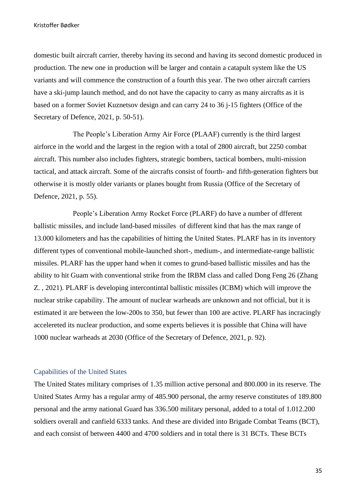domestic built aircraft carrier, thereby having its second and having its second domestic produced in production. The new one in production will be larger and contain a catapult system like the US variants and will commence the construction of a fourth this year. The two other aircraft carriers have a ski-jump launch method, and do not have the capacity to carry as many aircrafts as it is based on a former Soviet Kuznetsov design and can carry 24 to 36 j-15 fighters (Office of the Secretary of Defence, 2021, p. 50-51).

The People's Liberation Army Air Force (PLAAF) currently is the third largest airforce in the world and the largest in the region with a total of 2800 aircraft, but 2250 combat aircraft. This number also includes fighters, strategic bombers, tactical bombers, multi-mission tactical, and attack aircraft. Some of the aircrafts consist of fourth- and fifth-generation fighters but otherwise it is mostly older variants or planes bought from Russia (Office of the Secretary of Defence, 2021, p. 55).

People's Liberation Army Rocket Force (PLARF) do have a number of dfferent ballistic missiles, and include land-based missiles of different kind that has the max range of 13.000 kilometers and has the capabilities of hitting the United States. PLARF has in its inventory different types of conventional mobile-launched short-, medium-, and intermediate-range ballistic missiles. PLARF has the upper hand when it comes to grund-based ballistic missiles and has the ability to hit Guam with conventional strike from the IRBM class and called Dong Feng 26 (Zhang Z. , 2021). PLARF is developing intercontintal ballistic missiles (ICBM) which will improve the nuclear strike capability. The amount of nuclear warheads are unknown and not official, but it is estimated it are between the low-200s to 350, but fewer than 100 are active. PLARF has incracingly accelereted its nuclear production, and some experts believes it is possible that China will have 1000 nuclear warheads at 2030 (Office of the Secretary of Defence, 2021, p. 92).

# <span id="page-35-0"></span>Capabilities of the United States

The United States military comprises of 1.35 million active personal and 800.000 in its reserve. The United States Army has a regular army of 485.900 personal, the army reserve constitutes of 189.800 personal and the army national Guard has 336.500 military personal, added to a total of 1.012.200 soldiers overall and canfield 6333 tanks. And these are divided into Brigade Combat Teams (BCT), and each consist of between 4400 and 4700 soldiers and in total there is 31 BCTs. These BCTs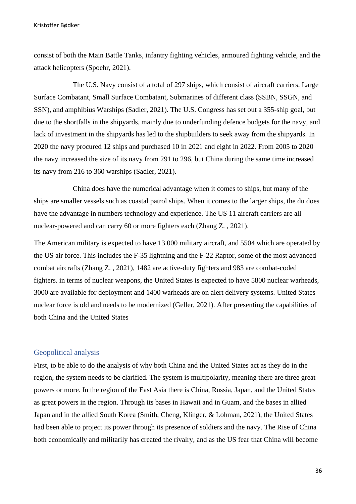consist of both the Main Battle Tanks, infantry fighting vehicles, armoured fighting vehicle, and the attack helicopters (Spoehr, 2021).

The U.S. Navy consist of a total of 297 ships, which consist of aircraft carriers, Large Surface Combatant, Small Surface Combatant, Submarines of different class (SSBN, SSGN, and SSN), and amphibius Warships (Sadler, 2021). The U.S. Congress has set out a 355-ship goal, but due to the shortfalls in the shipyards, mainly due to underfunding defence budgets for the navy, and lack of investment in the shipyards has led to the shipbuilders to seek away from the shipyards. In 2020 the navy procured 12 ships and purchased 10 in 2021 and eight in 2022. From 2005 to 2020 the navy increased the size of its navy from 291 to 296, but China during the same time increased its navy from 216 to 360 warships (Sadler, 2021).

China does have the numerical advantage when it comes to ships, but many of the ships are smaller vessels such as coastal patrol ships. When it comes to the larger ships, the du does have the advantage in numbers technology and experience. The US 11 aircraft carriers are all nuclear-powered and can carry 60 or more fighters each (Zhang Z. , 2021).

The American military is expected to have 13.000 military aircraft, and 5504 which are operated by the US air force. This includes the F-35 lightning and the F-22 Raptor, some of the most advanced combat aircrafts (Zhang Z. , 2021), 1482 are active-duty fighters and 983 are combat-coded fighters. in terms of nuclear weapons, the United States is expected to have 5800 nuclear warheads, 3000 are available for deployment and 1400 warheads are on alert delivery systems. United States nuclear force is old and needs to be modernized (Geller, 2021). After presenting the capabilities of both China and the United States

# <span id="page-36-0"></span>Geopolitical analysis

First, to be able to do the analysis of why both China and the United States act as they do in the region, the system needs to be clarified. The system is multipolarity, meaning there are three great powers or more. In the region of the East Asia there is China, Russia, Japan, and the United States as great powers in the region. Through its bases in Hawaii and in Guam, and the bases in allied Japan and in the allied South Korea (Smith, Cheng, Klinger, & Lohman, 2021), the United States had been able to project its power through its presence of soldiers and the navy. The Rise of China both economically and militarily has created the rivalry, and as the US fear that China will become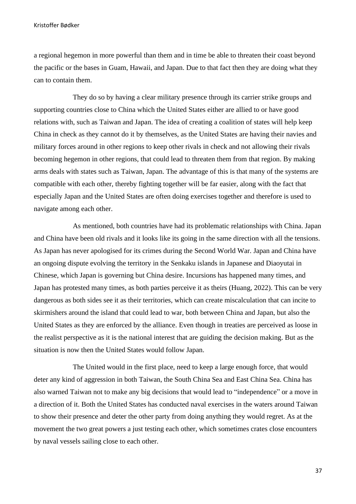a regional hegemon in more powerful than them and in time be able to threaten their coast beyond the pacific or the bases in Guam, Hawaii, and Japan. Due to that fact then they are doing what they can to contain them.

They do so by having a clear military presence through its carrier strike groups and supporting countries close to China which the United States either are allied to or have good relations with, such as Taiwan and Japan. The idea of creating a coalition of states will help keep China in check as they cannot do it by themselves, as the United States are having their navies and military forces around in other regions to keep other rivals in check and not allowing their rivals becoming hegemon in other regions, that could lead to threaten them from that region. By making arms deals with states such as Taiwan, Japan. The advantage of this is that many of the systems are compatible with each other, thereby fighting together will be far easier, along with the fact that especially Japan and the United States are often doing exercises together and therefore is used to navigate among each other.

As mentioned, both countries have had its problematic relationships with China. Japan and China have been old rivals and it looks like its going in the same direction with all the tensions. As Japan has never apologised for its crimes during the Second World War. Japan and China have an ongoing dispute evolving the territory in the Senkaku islands in Japanese and Diaoyutai in Chinese, which Japan is governing but China desire. Incursions has happened many times, and Japan has protested many times, as both parties perceive it as theirs (Huang, 2022). This can be very dangerous as both sides see it as their territories, which can create miscalculation that can incite to skirmishers around the island that could lead to war, both between China and Japan, but also the United States as they are enforced by the alliance. Even though in treaties are perceived as loose in the realist perspective as it is the national interest that are guiding the decision making. But as the situation is now then the United States would follow Japan.

The United would in the first place, need to keep a large enough force, that would deter any kind of aggression in both Taiwan, the South China Sea and East China Sea. China has also warned Taiwan not to make any big decisions that would lead to "independence" or a move in a direction of it. Both the United States has conducted naval exercises in the waters around Taiwan to show their presence and deter the other party from doing anything they would regret. As at the movement the two great powers a just testing each other, which sometimes crates close encounters by naval vessels sailing close to each other.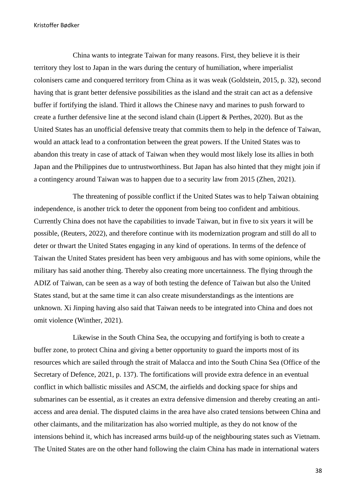China wants to integrate Taiwan for many reasons. First, they believe it is their territory they lost to Japan in the wars during the century of humiliation, where imperialist colonisers came and conquered territory from China as it was weak (Goldstein, 2015, p. 32), second having that is grant better defensive possibilities as the island and the strait can act as a defensive buffer if fortifying the island. Third it allows the Chinese navy and marines to push forward to create a further defensive line at the second island chain (Lippert & Perthes, 2020). But as the United States has an unofficial defensive treaty that commits them to help in the defence of Taiwan, would an attack lead to a confrontation between the great powers. If the United States was to abandon this treaty in case of attack of Taiwan when they would most likely lose its allies in both Japan and the Philippines due to untrustworthiness. But Japan has also hinted that they might join if a contingency around Taiwan was to happen due to a security law from 2015 (Zhen, 2021).

The threatening of possible conflict if the United States was to help Taiwan obtaining independence, is another trick to deter the opponent from being too confident and ambitious. Currently China does not have the capabilities to invade Taiwan, but in five to six years it will be possible, (Reuters, 2022), and therefore continue with its modernization program and still do all to deter or thwart the United States engaging in any kind of operations. In terms of the defence of Taiwan the United States president has been very ambiguous and has with some opinions, while the military has said another thing. Thereby also creating more uncertainness. The flying through the ADIZ of Taiwan, can be seen as a way of both testing the defence of Taiwan but also the United States stand, but at the same time it can also create misunderstandings as the intentions are unknown. Xi Jinping having also said that Taiwan needs to be integrated into China and does not omit violence (Winther, 2021).

Likewise in the South China Sea, the occupying and fortifying is both to create a buffer zone, to protect China and giving a better opportunity to guard the imports most of its resources which are sailed through the strait of Malacca and into the South China Sea (Office of the Secretary of Defence, 2021, p. 137). The fortifications will provide extra defence in an eventual conflict in which ballistic missiles and ASCM, the airfields and docking space for ships and submarines can be essential, as it creates an extra defensive dimension and thereby creating an antiaccess and area denial. The disputed claims in the area have also crated tensions between China and other claimants, and the militarization has also worried multiple, as they do not know of the intensions behind it, which has increased arms build-up of the neighbouring states such as Vietnam. The United States are on the other hand following the claim China has made in international waters

38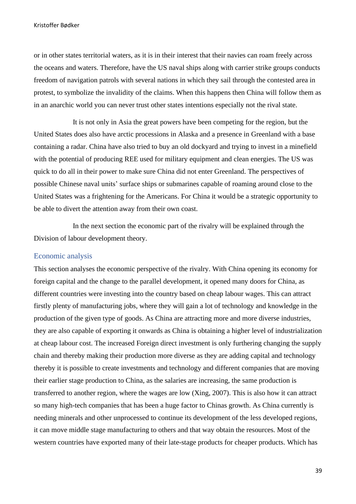or in other states territorial waters, as it is in their interest that their navies can roam freely across the oceans and waters. Therefore, have the US naval ships along with carrier strike groups conducts freedom of navigation patrols with several nations in which they sail through the contested area in protest, to symbolize the invalidity of the claims. When this happens then China will follow them as in an anarchic world you can never trust other states intentions especially not the rival state.

It is not only in Asia the great powers have been competing for the region, but the United States does also have arctic processions in Alaska and a presence in Greenland with a base containing a radar. China have also tried to buy an old dockyard and trying to invest in a minefield with the potential of producing REE used for military equipment and clean energies. The US was quick to do all in their power to make sure China did not enter Greenland. The perspectives of possible Chinese naval units' surface ships or submarines capable of roaming around close to the United States was a frightening for the Americans. For China it would be a strategic opportunity to be able to divert the attention away from their own coast.

In the next section the economic part of the rivalry will be explained through the Division of labour development theory.

# <span id="page-39-0"></span>Economic analysis

This section analyses the economic perspective of the rivalry. With China opening its economy for foreign capital and the change to the parallel development, it opened many doors for China, as different countries were investing into the country based on cheap labour wages. This can attract firstly plenty of manufacturing jobs, where they will gain a lot of technology and knowledge in the production of the given type of goods. As China are attracting more and more diverse industries, they are also capable of exporting it onwards as China is obtaining a higher level of industrialization at cheap labour cost. The increased Foreign direct investment is only furthering changing the supply chain and thereby making their production more diverse as they are adding capital and technology thereby it is possible to create investments and technology and different companies that are moving their earlier stage production to China, as the salaries are increasing, the same production is transferred to another region, where the wages are low (Xing, 2007). This is also how it can attract so many high-tech companies that has been a huge factor to Chinas growth. As China currently is needing minerals and other unprocessed to continue its development of the less developed regions, it can move middle stage manufacturing to others and that way obtain the resources. Most of the western countries have exported many of their late-stage products for cheaper products. Which has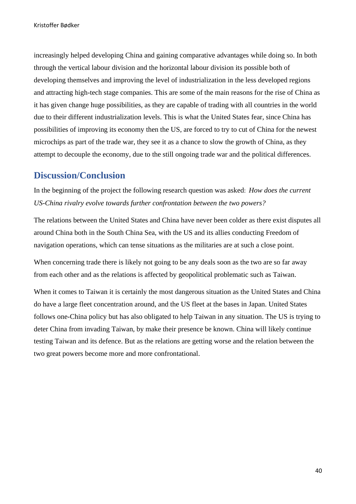increasingly helped developing China and gaining comparative advantages while doing so. In both through the vertical labour division and the horizontal labour division its possible both of developing themselves and improving the level of industrialization in the less developed regions and attracting high-tech stage companies. This are some of the main reasons for the rise of China as it has given change huge possibilities, as they are capable of trading with all countries in the world due to their different industrialization levels. This is what the United States fear, since China has possibilities of improving its economy then the US, are forced to try to cut of China for the newest microchips as part of the trade war, they see it as a chance to slow the growth of China, as they attempt to decouple the economy, due to the still ongoing trade war and the political differences.

# <span id="page-40-0"></span>**Discussion/Conclusion**

In the beginning of the project the following research question was asked: *How does the current US-China rivalry evolve towards further confrontation between the two powers?* 

The relations between the United States and China have never been colder as there exist disputes all around China both in the South China Sea, with the US and its allies conducting Freedom of navigation operations, which can tense situations as the militaries are at such a close point.

When concerning trade there is likely not going to be any deals soon as the two are so far away from each other and as the relations is affected by geopolitical problematic such as Taiwan.

When it comes to Taiwan it is certainly the most dangerous situation as the United States and China do have a large fleet concentration around, and the US fleet at the bases in Japan. United States follows one-China policy but has also obligated to help Taiwan in any situation. The US is trying to deter China from invading Taiwan, by make their presence be known. China will likely continue testing Taiwan and its defence. But as the relations are getting worse and the relation between the two great powers become more and more confrontational.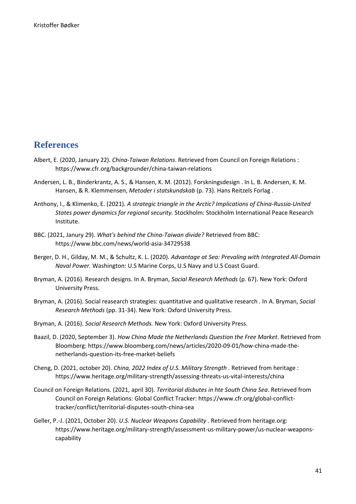# <span id="page-41-0"></span>**References**

- Albert, E. (2020, January 22). *China-Taiwan Relations*. Retrieved from Council on Foreign Relations : https://www.cfr.org/backgrounder/china-taiwan-relations
- Andersen, L. B., Binderkrantz, A. S., & Hansen, K. M. (2012). Forskningsdesign . In L. B. Andersen, K. M. Hansen, & R. Klemmensen, *Metoder i statskundskab* (p. 73). Hans Reitzels Forlag .
- Anthony, I., & Klimenko, E. (2021). *A strategic triangle in the Arctic? Implications of China-Russia-United States power dynamics for regional security.* Stockholm: Stockholm International Peace Research Institute.
- BBC. (2021, Janury 29). *What's behind the China-Taiwan divide?* Retrieved from BBC: https://www.bbc.com/news/world-asia-34729538
- Berger, D. H., Gilday, M. M., & Schultz, K. L. (2020). *Advantage at Sea: Prevaling with Integrated All-Domain Naval Power.* Washington: U.S Marine Corps, U.S Navy and U.S Coast Guard.
- Bryman, A. (2016). Research designs. In A. Bryman, *Social Research Methods* (p. 67). New York: Oxford University Press.
- Bryman, A. (2016). Social reasearch strategies: quantitative and qualitative research . In A. Bryman, *Social Research Methods* (pp. 31-34). New York: Oxford University Press.
- Bryman, A. (2016). *Social Research Methods.* New York: Oxford University Press.
- Baazil, D. (2020, September 3). *How China Made the Netherlands Question the Free Market*. Retrieved from Bloomberg: https://www.bloomberg.com/news/articles/2020-09-01/how-china-made-thenetherlands-question-its-free-market-beliefs
- Cheng, D. (2021, october 20). *China, 2022 Index of U.S. Military Strength .* Retrieved from heritage : https://www.heritage.org/military-strength/assessing-threats-us-vital-interests/china
- Council on Foreign Relations. (2021, april 30). *Territorial disbutes in hte South China Sea*. Retrieved from Council on Foreign Relations: Global Conflict Tracker: https://www.cfr.org/global-conflicttracker/conflict/territorial-disputes-south-china-sea
- Geller, P.-J. (2021, October 20). *U.S. Nuclear Weapons Capability .* Retrieved from heritage.org: https://www.heritage.org/military-strength/assessment-us-military-power/us-nuclear-weaponscapability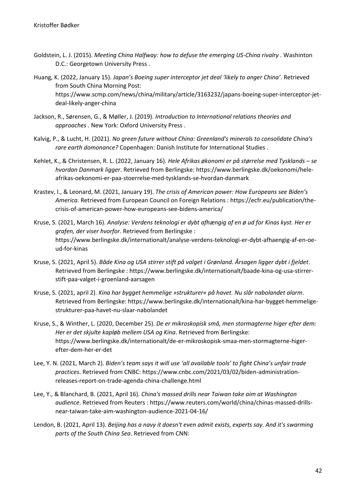- Goldstein, L. J. (2015). *Meeting China Halfway: how to defuse the emerging US-China rivalry .* Washinton D.C.: Georgetown University Press .
- Huang, K. (2022, January 15). *Japan's Boeing super interceptor jet deal 'likely to anger China'*. Retrieved from South China Morning Post: https://www.scmp.com/news/china/military/article/3163232/japans-boeing-super-interceptor-jetdeal-likely-anger-china
- Jackson, R., Sørensen, G., & Møller, J. (2019). *Introduction to International relations theories and approaches .* New York: Oxford University Press .
- Kalvig, P., & Lucht, H. (2021). *No green future without China: Greenland's minerals to consolidate China's rare earth domonance?* Copenhagen: Danish Institute for International Studies .
- Kehlet, K., & Christensen, R. L. (2022, January 16). *Hele Afrikas økonomi er på størrelse med Tysklands – se hvordan Danmark ligger*. Retrieved from Berlingske: https://www.berlingske.dk/oekonomi/heleafrikas-oekonomi-er-paa-stoerrelse-med-tysklands-se-hvordan-danmark
- Krastev, I., & Leonard, M. (2021, January 19). *The crisis of American power: How Europeans see Biden's America*. Retrieved from European Council on Foreign Relations : https://ecfr.eu/publication/thecrisis-of-american-power-how-europeans-see-bidens-america/
- Kruse, S. (2021, March 16). *Analyse: Verdens teknologi er dybt afhængig af en ø ud for Kinas kyst. Her er grafen, der viser hvorfor*. Retrieved from Berlingske : https://www.berlingske.dk/internationalt/analyse-verdens-teknologi-er-dybt-afhaengig-af-en-oeud-for-kinas
- Kruse, S. (2021, April 5). *Både Kina og USA stirrer stift på valget i Grønland. Årsagen ligger dybt i fjeldet*. Retrieved from Berlingske : https://www.berlingske.dk/internationalt/baade-kina-og-usa-stirrerstift-paa-valget-i-groenland-aarsagen
- Kruse, S. (2021, april 2). *Kina har bygget hemmelige »strukturer« på havet. Nu slår nabolandet alarm*. Retrieved from Berlingske: https://www.berlingske.dk/internationalt/kina-har-bygget-hemmeligestrukturer-paa-havet-nu-slaar-nabolandet
- Kruse, S., & Winther, L. (2020, December 25). *De er mikroskopisk små, men stormagterne higer efter dem: Her er det skjulte kapløb mellem USA og Kina*. Retrieved from Berlingske: https://www.berlingske.dk/internationalt/de-er-mikroskopisk-smaa-men-stormagterne-higerefter-dem-her-er-det
- Lee, Y. N. (2021, March 2). *Biden's team says it will use 'all available tools' to fight China's unfair trade practices*. Retrieved from CNBC: https://www.cnbc.com/2021/03/02/biden-administrationreleases-report-on-trade-agenda-china-challenge.html
- Lee, Y., & Blanchard, B. (2021, April 16). *China's massed drills near Taiwan take aim at Washington audience*. Retrieved from Reuters : https://www.reuters.com/world/china/chinas-massed-drillsnear-taiwan-take-aim-washington-audience-2021-04-16/
- Lendon, B. (2021, April 13). *Beijing has a navy it doesn't even admit exists, experts say. And it's swarming parts of the South China Sea*. Retrieved from CNN: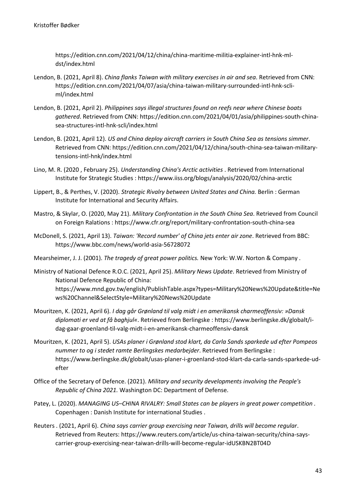https://edition.cnn.com/2021/04/12/china/china-maritime-militia-explainer-intl-hnk-mldst/index.html

- Lendon, B. (2021, April 8). *China flanks Taiwan with military exercises in air and sea*. Retrieved from CNN: https://edition.cnn.com/2021/04/07/asia/china-taiwan-military-surrounded-intl-hnk-scliml/index.html
- Lendon, B. (2021, April 2). *Philippines says illegal structures found on reefs near where Chinese boats gathered*. Retrieved from CNN: https://edition.cnn.com/2021/04/01/asia/philippines-south-chinasea-structures-intl-hnk-scli/index.html
- Lendon, B. (2021, April 12). *US and China deploy aircraft carriers in South China Sea as tensions simmer*. Retrieved from CNN: https://edition.cnn.com/2021/04/12/china/south-china-sea-taiwan-militarytensions-intl-hnk/index.html
- Lino, M. R. (2020 , February 25). *Understanding China's Arctic activities* . Retrieved from International Institute for Strategic Studies : https://www.iiss.org/blogs/analysis/2020/02/china-arctic
- Lippert, B., & Perthes, V. (2020). *Strategic Rivalry between United States and China.* Berlin : German Institute for International and Security Affairs.
- Mastro, & Skylar, O. (2020, May 21). *Military Confrontation in the South China Sea*. Retrieved from Council on Foreign Ralations : https://www.cfr.org/report/military-confrontation-south-china-sea
- McDonell, S. (2021, April 13). *Taiwan: 'Record number' of China jets enter air zone*. Retrieved from BBC: https://www.bbc.com/news/world-asia-56728072
- Mearsheimer, J. J. (2001). *The tragedy of great power politics.* New York: W.W. Norton & Company .
- Ministry of National Defence R.O.C. (2021, April 25). *Military News Update*. Retrieved from Ministry of National Defence Republic of China: https://www.mnd.gov.tw/english/PublishTable.aspx?types=Military%20News%20Update&title=Ne ws%20Channel&SelectStyle=Military%20News%20Update
- Mouritzen, K. (2021, April 6). *I dag går Grønland til valg midt i en amerikansk charmeoffensiv: »Dansk diplomati er ved at få baghjul«*. Retrieved from Berlingske : https://www.berlingske.dk/globalt/idag-gaar-groenland-til-valg-midt-i-en-amerikansk-charmeoffensiv-dansk
- Mouritzen, K. (2021, April 5). *USAs planer i Grønland stod klart, da Carla Sands sparkede ud efter Pompeos nummer to og i stedet ramte Berlingskes medarbejder*. Retrieved from Berlingske : https://www.berlingske.dk/globalt/usas-planer-i-groenland-stod-klart-da-carla-sands-sparkede-udefter
- Office of the Secretary of Defence. (2021). *Military and security developments involving the People's Republic of China 2021.* Washington DC: Department of Defense.
- Patey, L. (2020). *MANAGING US–CHINA RIVALRY: Small States can be players in great power competition .* Copenhagen : Danish Institute for international Studies .
- Reuters . (2021, April 6). *China says carrier group exercising near Taiwan, drills will become regular*. Retrieved from Reuters: https://www.reuters.com/article/us-china-taiwan-security/china-sayscarrier-group-exercising-near-taiwan-drills-will-become-regular-idUSKBN2BT04D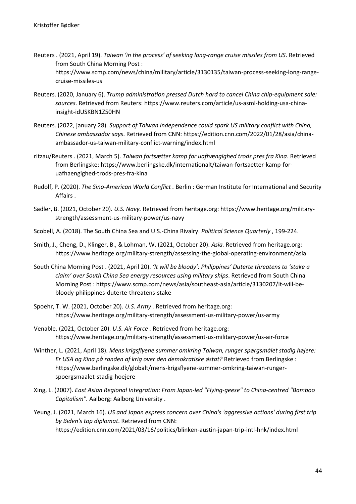- Reuters . (2021, April 19). *Taiwan 'in the process' of seeking long-range cruise missiles from US*. Retrieved from South China Morning Post : https://www.scmp.com/news/china/military/article/3130135/taiwan-process-seeking-long-rangecruise-missiles-us
- Reuters. (2020, January 6). *Trump administration pressed Dutch hard to cancel China chip-equipment sale: sources*. Retrieved from Reuters: https://www.reuters.com/article/us-asml-holding-usa-chinainsight-idUSKBN1Z50HN
- Reuters. (2022, january 28). *Support of Taiwan independence could spark US military conflict with China, Chinese ambassador says*. Retrieved from CNN: https://edition.cnn.com/2022/01/28/asia/chinaambassador-us-taiwan-military-conflict-warning/index.html
- ritzau/Reuters . (2021, March 5). *Taiwan fortsætter kamp for uafhængighed trods pres fra Kina*. Retrieved from Berlingske: https://www.berlingske.dk/internationalt/taiwan-fortsaetter-kamp-foruafhaengighed-trods-pres-fra-kina
- Rudolf, P. (2020). *The Sino-American World Conflict .* Berlin : German Institute for International and Security Affairs .
- Sadler, B. (2021, October 20). *U.S. Navy.* Retrieved from heritage.org: https://www.heritage.org/militarystrength/assessment-us-military-power/us-navy
- Scobell, A. (2018). The South China Sea and U.S.-China Rivalry. *Political Science Quarterly* , 199-224.
- Smith, J., Cheng, D., Klinger, B., & Lohman, W. (2021, October 20). *Asia.* Retrieved from heritage.org: https://www.heritage.org/military-strength/assessing-the-global-operating-environment/asia
- South China Morning Post . (2021, April 20). *'It will be bloody': Philippines' Duterte threatens to 'stake a claim' over South China Sea energy resources using military ships*. Retrieved from South China Morning Post : https://www.scmp.com/news/asia/southeast-asia/article/3130207/it-will-bebloody-philippines-duterte-threatens-stake
- Spoehr, T. W. (2021, October 20). *U.S. Army .* Retrieved from heritage.org: https://www.heritage.org/military-strength/assessment-us-military-power/us-army
- Venable. (2021, October 20). *U.S. Air Force .* Retrieved from heritage.org: https://www.heritage.org/military-strength/assessment-us-military-power/us-air-force
- Winther, L. (2021, April 18). *Mens krigsflyene summer omkring Taiwan, runger spørgsmålet stadig højere: Er USA og Kina på randen af krig over den demokratiske østat?* Retrieved from Berlingske : https://www.berlingske.dk/globalt/mens-krigsflyene-summer-omkring-taiwan-rungerspoergsmaalet-stadig-hoejere
- Xing, L. (2007). *East Asian Regional Integration: From Japan-led "Flying-geese" to China-centred "Bamboo Capitalism".* Aalborg: Aalborg University .
- Yeung, J. (2021, March 16). *US and Japan express concern over China's 'aggressive actions' during first trip by Biden's top diplomat*. Retrieved from CNN: https://edition.cnn.com/2021/03/16/politics/blinken-austin-japan-trip-intl-hnk/index.html